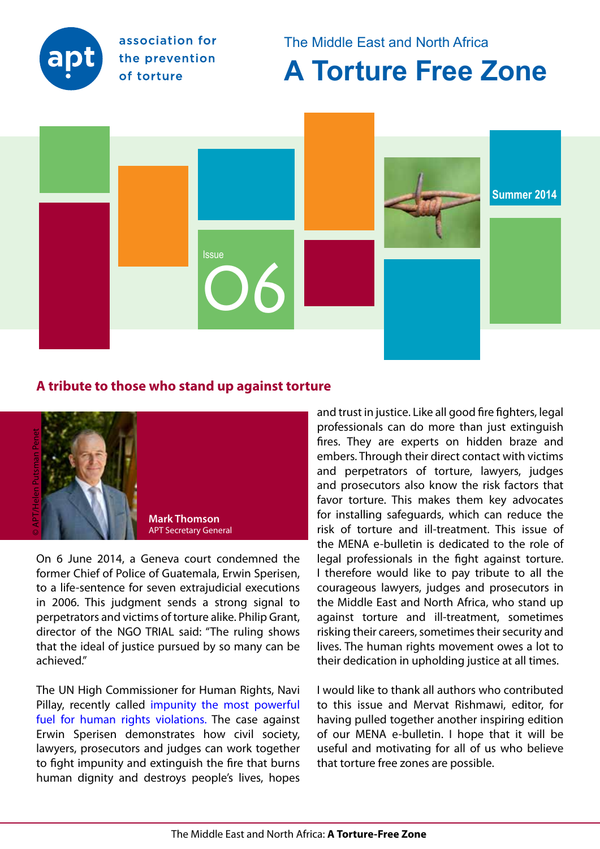

association for the prevention of torture

The Middle East and North Africa

**A Torture Free Zone**



## **A tribute to those who stand up against torture**



On 6 June 2014, a Geneva court condemned the former Chief of Police of Guatemala, Erwin Sperisen, to a life-sentence for seven extrajudicial executions in 2006. This judgment sends a strong signal to perpetrators and victims of torture alike. Philip Grant, director of the NGO TRIAL said: "The ruling shows that the ideal of justice pursued by so many can be achieved."

The UN High Commissioner for Human Rights, Navi Pillay, recently calle[d impunity the most powerful](http://www.ohchr.org/SP/NewsEvents/Pages/DisplayNews.aspx?NewsID=14652&LangID=E)  [fuel for human rights violations.](http://www.ohchr.org/SP/NewsEvents/Pages/DisplayNews.aspx?NewsID=14652&LangID=E) The case against Erwin Sperisen demonstrates how civil society, lawyers, prosecutors and judges can work together to fight impunity and extinguish the fire that burns human dignity and destroys people's lives, hopes

and trust in justice. Like all good fire fighters, legal professionals can do more than just extinguish fires. They are experts on hidden braze and embers. Through their direct contact with victims and perpetrators of torture, lawyers, judges and prosecutors also know the risk factors that favor torture. This makes them key advocates for installing safeguards, which can reduce the risk of torture and ill-treatment. This issue of the MENA e-bulletin is dedicated to the role of legal professionals in the fight against torture. I therefore would like to pay tribute to all the courageous lawyers, judges and prosecutors in the Middle East and North Africa, who stand up against torture and ill-treatment, sometimes risking their careers, sometimes their security and lives. The human rights movement owes a lot to their dedication in upholding justice at all times.

I would like to thank all authors who contributed to this issue and Mervat Rishmawi, editor, for having pulled together another inspiring edition of our MENA e-bulletin. I hope that it will be useful and motivating for all of us who believe that torture free zones are possible.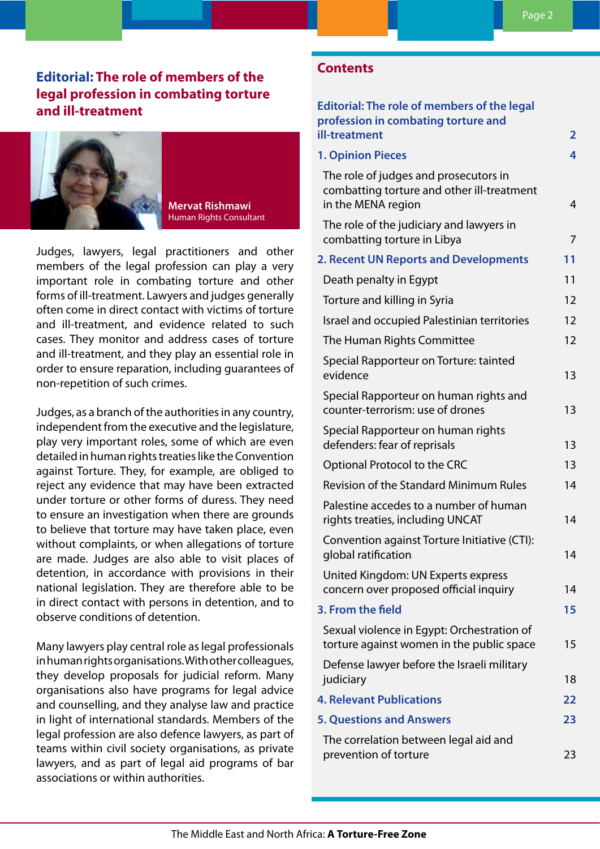# **Editorial: The role of members of the legal profession in combating torture and ill-treatment**



#### **Mervat Rishmawi**  Human Rights Consultant

Judges, lawyers, legal practitioners and other members of the legal profession can play a very important role in combating torture and other forms of ill-treatment. Lawyers and judges generally often come in direct contact with victims of torture and ill-treatment, and evidence related to such cases. They monitor and address cases of torture and ill-treatment, and they play an essential role in order to ensure reparation, including guarantees of non-repetition of such crimes.

Judges, as a branch of the authorities in any country, independent from the executive and the legislature, play very important roles, some of which are even detailed in human rights treaties like the Convention against Torture. They, for example, are obliged to reject any evidence that may have been extracted under torture or other forms of duress. They need to ensure an investigation when there are grounds to believe that torture may have taken place, even without complaints, or when allegations of torture are made. Judges are also able to visit places of detention, in accordance with provisions in their national legislation. They are therefore able to be in direct contact with persons in detention, and to observe conditions of detention.

Many lawyers play central role as legal professionals in human rights organisations. With other colleagues, they develop proposals for judicial reform. Many organisations also have programs for legal advice and counselling, and they analyse law and practice in light of international standards. Members of the legal profession are also defence lawyers, as part of teams within civil society organisations, as private lawyers, and as part of legal aid programs of bar associations or within authorities.

## **Contents**

| <b>Editorial: The role of members of the legal</b><br>profession in combating torture and                 |                |
|-----------------------------------------------------------------------------------------------------------|----------------|
| ill-treatment                                                                                             | $\overline{2}$ |
| <b>1. Opinion Pieces</b>                                                                                  | 4              |
| The role of judges and prosecutors in<br>combatting torture and other ill-treatment<br>in the MENA region | 4              |
| The role of the judiciary and lawyers in<br>combatting torture in Libya                                   | 7              |
| 2. Recent UN Reports and Developments                                                                     | 11             |
| Death penalty in Egypt                                                                                    | 11             |
| Torture and killing in Syria                                                                              | 12             |
| Israel and occupied Palestinian territories                                                               | 12             |
| The Human Rights Committee                                                                                | 12             |
| Special Rapporteur on Torture: tainted<br>evidence                                                        | 13             |
| Special Rapporteur on human rights and<br>counter-terrorism: use of drones                                | 13             |
| Special Rapporteur on human rights<br>defenders: fear of reprisals                                        | 13             |
| Optional Protocol to the CRC                                                                              | 13             |
| <b>Revision of the Standard Minimum Rules</b>                                                             | 14             |
| Palestine accedes to a number of human<br>rights treaties, including UNCAT                                | 14             |
| Convention against Torture Initiative (CTI):<br>global ratification                                       | 14             |
| United Kingdom: UN Experts express<br>concern over proposed official inquiry                              | 14             |
| 3. From the field                                                                                         | 15             |
| Sexual violence in Egypt: Orchestration of<br>torture against women in the public space                   | 15             |
| Defense lawyer before the Israeli military<br>judiciary                                                   | 18             |
| <b>4. Relevant Publications</b>                                                                           | 22             |
| <b>5. Questions and Answers</b>                                                                           | 23             |
| The correlation between legal aid and<br>prevention of torture                                            | 23             |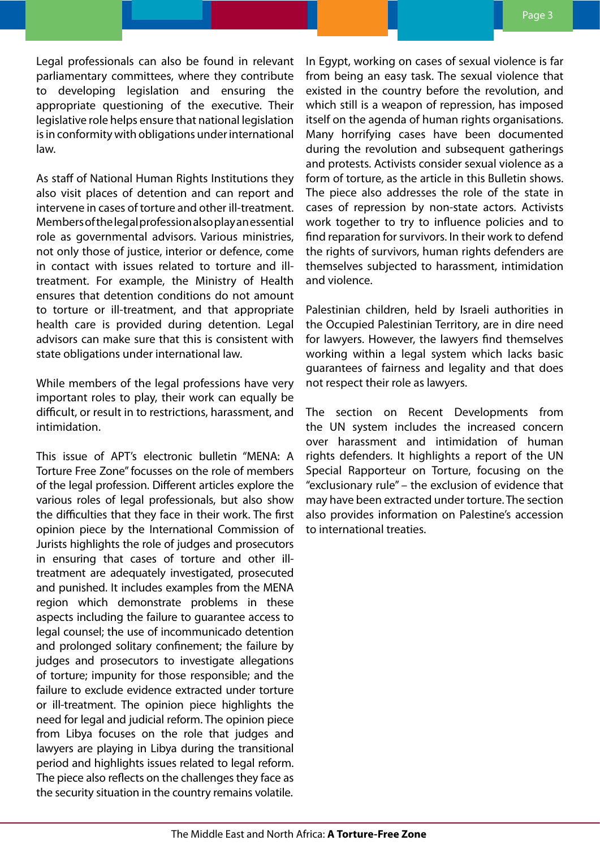Legal professionals can also be found in relevant parliamentary committees, where they contribute to developing legislation and ensuring the appropriate questioning of the executive. Their legislative role helps ensure that national legislation is in conformity with obligations under international law.

As staff of National Human Rights Institutions they also visit places of detention and can report and intervene in cases of torture and other ill-treatment. Members of the legal profession also play an essential role as governmental advisors. Various ministries, not only those of justice, interior or defence, come in contact with issues related to torture and illtreatment. For example, the Ministry of Health ensures that detention conditions do not amount to torture or ill-treatment, and that appropriate health care is provided during detention. Legal advisors can make sure that this is consistent with state obligations under international law.

While members of the legal professions have very important roles to play, their work can equally be difficult, or result in to restrictions, harassment, and intimidation.

This issue of APT's electronic bulletin "MENA: A Torture Free Zone" focusses on the role of members of the legal profession. Different articles explore the various roles of legal professionals, but also show the difficulties that they face in their work. The first opinion piece by the International Commission of Jurists highlights the role of judges and prosecutors in ensuring that cases of torture and other illtreatment are adequately investigated, prosecuted and punished. It includes examples from the MENA region which demonstrate problems in these aspects including the failure to guarantee access to legal counsel; the use of incommunicado detention and prolonged solitary confinement; the failure by judges and prosecutors to investigate allegations of torture; impunity for those responsible; and the failure to exclude evidence extracted under torture or ill-treatment. The opinion piece highlights the need for legal and judicial reform. The opinion piece from Libya focuses on the role that judges and lawyers are playing in Libya during the transitional period and highlights issues related to legal reform. The piece also reflects on the challenges they face as the security situation in the country remains volatile.

In Egypt, working on cases of sexual violence is far from being an easy task. The sexual violence that existed in the country before the revolution, and which still is a weapon of repression, has imposed itself on the agenda of human rights organisations. Many horrifying cases have been documented during the revolution and subsequent gatherings and protests. Activists consider sexual violence as a form of torture, as the article in this Bulletin shows. The piece also addresses the role of the state in cases of repression by non-state actors. Activists work together to try to influence policies and to find reparation for survivors. In their work to defend the rights of survivors, human rights defenders are themselves subjected to harassment, intimidation and violence.

Palestinian children, held by Israeli authorities in the Occupied Palestinian Territory, are in dire need for lawyers. However, the lawyers find themselves working within a legal system which lacks basic guarantees of fairness and legality and that does not respect their role as lawyers.

The section on Recent Developments from the UN system includes the increased concern over harassment and intimidation of human rights defenders. It highlights a report of the UN Special Rapporteur on Torture, focusing on the "exclusionary rule" – the exclusion of evidence that may have been extracted under torture. The section also provides information on Palestine's accession to international treaties.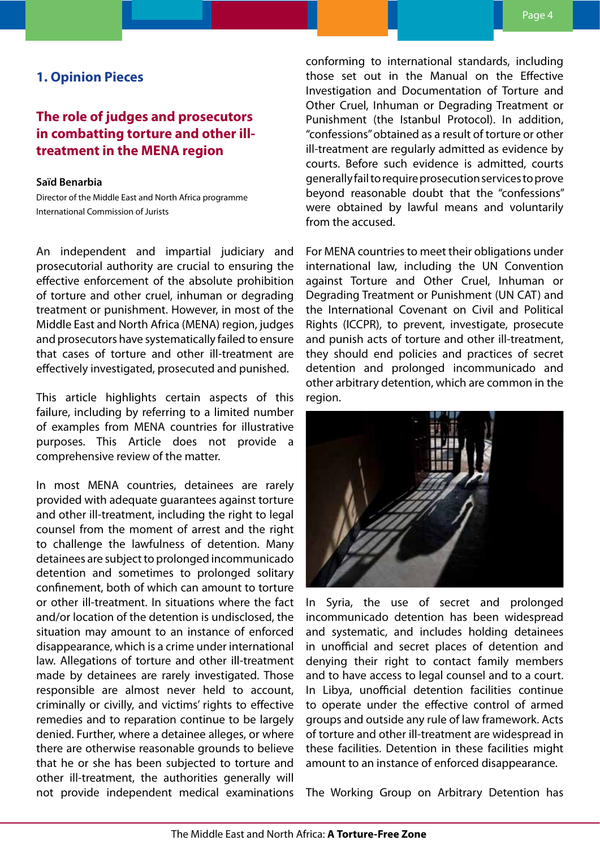## <span id="page-3-0"></span>**1. Opinion Pieces**

# **The role of judges and prosecutors in combatting torture and other illtreatment in the MENA region**

#### **Saïd Benarbia**

Director of the Middle East and North Africa programme International Commission of Jurists

An independent and impartial judiciary and prosecutorial authority are crucial to ensuring the effective enforcement of the absolute prohibition of torture and other cruel, inhuman or degrading treatment or punishment. However, in most of the Middle East and North Africa (MENA) region, judges and prosecutors have systematically failed to ensure that cases of torture and other ill-treatment are effectively investigated, prosecuted and punished.

This article highlights certain aspects of this failure, including by referring to a limited number of examples from MENA countries for illustrative purposes. This Article does not provide a comprehensive review of the matter.

In most MENA countries, detainees are rarely provided with adequate guarantees against torture and other ill-treatment, including the right to legal counsel from the moment of arrest and the right to challenge the lawfulness of detention. Many detainees are subject to prolonged incommunicado detention and sometimes to prolonged solitary confinement, both of which can amount to torture or other ill-treatment. In situations where the fact and/or location of the detention is undisclosed, the situation may amount to an instance of enforced disappearance, which is a crime under international law. Allegations of torture and other ill-treatment made by detainees are rarely investigated. Those responsible are almost never held to account, criminally or civilly, and victims' rights to effective remedies and to reparation continue to be largely denied. Further, where a detainee alleges, or where there are otherwise reasonable grounds to believe that he or she has been subjected to torture and other ill-treatment, the authorities generally will not provide independent medical examinations

conforming to international standards, including those set out in the Manual on the Effective Investigation and Documentation of Torture and Other Cruel, Inhuman or Degrading Treatment or Punishment (the Istanbul Protocol). In addition, "confessions" obtained as a result of torture or other ill-treatment are regularly admitted as evidence by courts. Before such evidence is admitted, courts generally fail to require prosecution services to prove beyond reasonable doubt that the "confessions" were obtained by lawful means and voluntarily from the accused.

For MENA countries to meet their obligations under international law, including the UN Convention against Torture and Other Cruel, Inhuman or Degrading Treatment or Punishment (UN CAT) and the International Covenant on Civil and Political Rights (ICCPR), to prevent, investigate, prosecute and punish acts of torture and other ill-treatment, they should end policies and practices of secret detention and prolonged incommunicado and other arbitrary detention, which are common in the region.



In Syria, the use of secret and prolonged incommunicado detention has been widespread and systematic, and includes holding detainees in unofficial and secret places of detention and denying their right to contact family members and to have access to legal counsel and to a court. In Libya, unofficial detention facilities continue to operate under the effective control of armed groups and outside any rule of law framework. Acts of torture and other ill-treatment are widespread in these facilities. Detention in these facilities might amount to an instance of enforced disappearance.

The Working Group on Arbitrary Detention has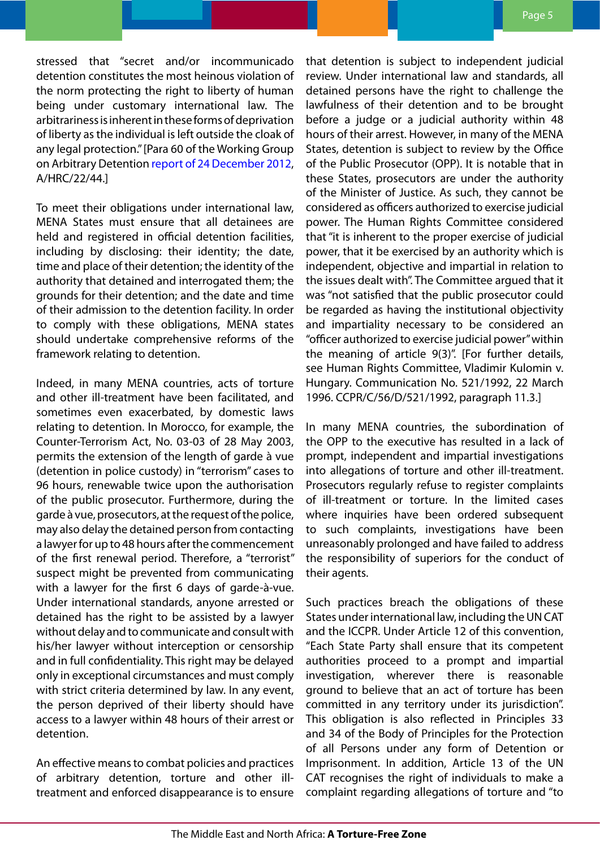stressed that "secret and/or incommunicado detention constitutes the most heinous violation of the norm protecting the right to liberty of human being under customary international law. The arbitrariness is inherent in these forms of deprivation of liberty as the individual is left outside the cloak of any legal protection." [Para 60 of the Working Group on Arbitrary Detention [report of 24 December 2012](http://www.ohchr.org/Documents/HRBodies/HRCouncil/RegularSession/Session22/A.HRC.22.44_en.pdf), A/HRC/22/44.]

To meet their obligations under international law, MENA States must ensure that all detainees are held and registered in official detention facilities, including by disclosing: their identity; the date, time and place of their detention; the identity of the authority that detained and interrogated them; the grounds for their detention; and the date and time of their admission to the detention facility. In order to comply with these obligations, MENA states should undertake comprehensive reforms of the framework relating to detention.

Indeed, in many MENA countries, acts of torture and other ill-treatment have been facilitated, and sometimes even exacerbated, by domestic laws relating to detention. In Morocco, for example, the Counter-Terrorism Act, No. 03-03 of 28 May 2003, permits the extension of the length of garde à vue (detention in police custody) in "terrorism" cases to 96 hours, renewable twice upon the authorisation of the public prosecutor. Furthermore, during the garde à vue, prosecutors, at the request of the police, may also delay the detained person from contacting a lawyer for up to 48 hours after the commencement of the first renewal period. Therefore, a "terrorist" suspect might be prevented from communicating with a lawyer for the first 6 days of garde-à-vue. Under international standards, anyone arrested or detained has the right to be assisted by a lawyer without delay and to communicate and consult with his/her lawyer without interception or censorship and in full confidentiality. This right may be delayed only in exceptional circumstances and must comply with strict criteria determined by law. In any event, the person deprived of their liberty should have access to a lawyer within 48 hours of their arrest or detention.

An effective means to combat policies and practices of arbitrary detention, torture and other illtreatment and enforced disappearance is to ensure that detention is subject to independent judicial review. Under international law and standards, all detained persons have the right to challenge the lawfulness of their detention and to be brought before a judge or a judicial authority within 48 hours of their arrest. However, in many of the MENA States, detention is subject to review by the Office of the Public Prosecutor (OPP). It is notable that in these States, prosecutors are under the authority of the Minister of Justice. As such, they cannot be considered as officers authorized to exercise judicial power. The Human Rights Committee considered that "it is inherent to the proper exercise of judicial power, that it be exercised by an authority which is independent, objective and impartial in relation to the issues dealt with". The Committee argued that it was "not satisfied that the public prosecutor could be regarded as having the institutional objectivity and impartiality necessary to be considered an "officer authorized to exercise judicial power" within the meaning of article 9(3)". [For further details, see Human Rights Committee, Vladimir Kulomin v. Hungary. Communication No. 521/1992, 22 March 1996. CCPR/C/56/D/521/1992, paragraph 11.3.]

In many MENA countries, the subordination of the OPP to the executive has resulted in a lack of prompt, independent and impartial investigations into allegations of torture and other ill-treatment. Prosecutors regularly refuse to register complaints of ill-treatment or torture. In the limited cases where inquiries have been ordered subsequent to such complaints, investigations have been unreasonably prolonged and have failed to address the responsibility of superiors for the conduct of their agents.

Such practices breach the obligations of these States under international law, including the UN CAT and the ICCPR. Under Article 12 of this convention, "Each State Party shall ensure that its competent authorities proceed to a prompt and impartial investigation, wherever there is reasonable ground to believe that an act of torture has been committed in any territory under its jurisdiction". This obligation is also reflected in Principles 33 and 34 of the Body of Principles for the Protection of all Persons under any form of Detention or Imprisonment. In addition, Article 13 of the UN CAT recognises the right of individuals to make a complaint regarding allegations of torture and "to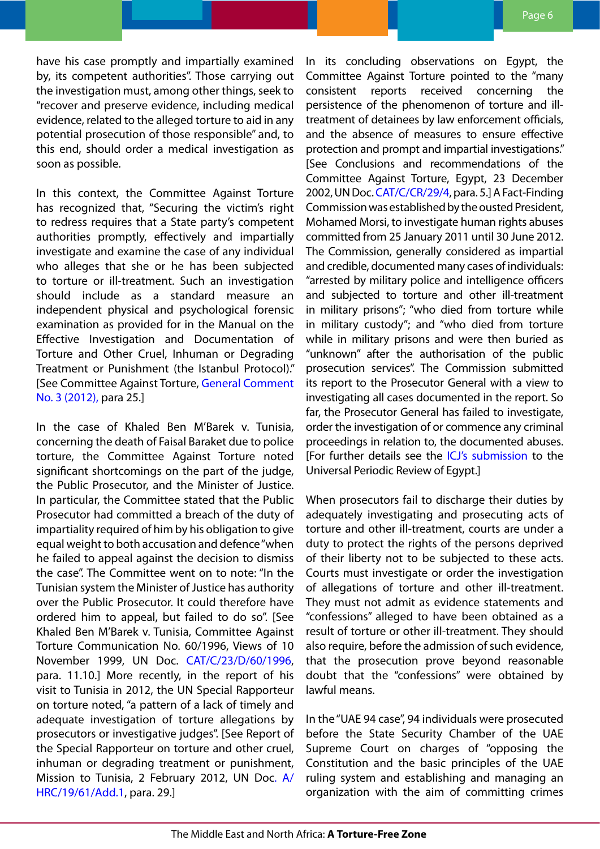have his case promptly and impartially examined by, its competent authorities". Those carrying out the investigation must, among other things, seek to "recover and preserve evidence, including medical evidence, related to the alleged torture to aid in any potential prosecution of those responsible" and, to this end, should order a medical investigation as soon as possible.

In this context, the Committee Against Torture has recognized that, "Securing the victim's right to redress requires that a State party's competent authorities promptly, effectively and impartially investigate and examine the case of any individual who alleges that she or he has been subjected to torture or ill-treatment. Such an investigation should include as a standard measure an independent physical and psychological forensic examination as provided for in the Manual on the Effective Investigation and Documentation of Torture and Other Cruel, Inhuman or Degrading Treatment or Punishment (the Istanbul Protocol)." [See Committee Against Torture, [General Comment](http://www2.ohchr.org/english/bodies/cat/docs/GC/CAT-C-GC-3_en.pdf)  [No. 3 \(2012\),](http://www2.ohchr.org/english/bodies/cat/docs/GC/CAT-C-GC-3_en.pdf) para 25.]

In the case of Khaled Ben M'Barek v. Tunisia, concerning the death of Faisal Baraket due to police torture, the Committee Against Torture noted significant shortcomings on the part of the judge, the Public Prosecutor, and the Minister of Justice. In particular, the Committee stated that the Public Prosecutor had committed a breach of the duty of impartiality required of him by his obligation to give equal weight to both accusation and defence "when he failed to appeal against the decision to dismiss the case". The Committee went on to note: "In the Tunisian system the Minister of Justice has authority over the Public Prosecutor. It could therefore have ordered him to appeal, but failed to do so". [See Khaled Ben M'Barek v. Tunisia, Committee Against Torture Communication No. 60/1996, Views of 10 November 1999, UN Doc. [CAT/C/23/D/60/1996](http://docstore.ohchr.org/SelfServices/FilesHandler.ashx?enc=6QkG1d%2fPPRiCAqhKb7yhskUGQY2WpSMPigtCBr8UEG4xd2SBl2A4ElySOu3N4Y%2frx0mdpUPK%2bopdGS8dnwpyaHgkryBcbIic0yY7leNvSdwrdT5tieeRPrWOlmDv%2bRY28PvI1DX57MIXxNhUOlmmeA%3d%3d), para. 11.10.] More recently, in the report of his visit to Tunisia in 2012, the UN Special Rapporteur on torture noted, "a pattern of a lack of timely and adequate investigation of torture allegations by prosecutors or investigative judges". [See Report of the Special Rapporteur on torture and other cruel, inhuman or degrading treatment or punishment, Mission to Tunisia, 2 February 2012, UN Do[c. A/](http://www.ohchr.org/Documents/Issues/SRTorture/A-HRC-19-61-Add-1.pdf) [HRC/19/61/Add.1,](http://www.ohchr.org/Documents/Issues/SRTorture/A-HRC-19-61-Add-1.pdf) para. 29.]

In its concluding observations on Egypt, the Committee Against Torture pointed to the "many consistent reports received concerning the persistence of the phenomenon of torture and illtreatment of detainees by law enforcement officials, and the absence of measures to ensure effective protection and prompt and impartial investigations." [See Conclusions and recommendations of the Committee Against Torture, Egypt, 23 December 2002, UN Doc. [CAT/C/CR/29/4,](http://daccess-dds-ny.un.org/doc/UNDOC/GEN/G02/464/48/PDF/G0246448.pdf?OpenElement) para. 5.] A Fact-Finding Commission was established by the ousted President, Mohamed Morsi, to investigate human rights abuses committed from 25 January 2011 until 30 June 2012. The Commission, generally considered as impartial and credible, documented many cases of individuals: "arrested by military police and intelligence officers and subjected to torture and other ill-treatment in military prisons"; "who died from torture while in military custody"; and "who died from torture while in military prisons and were then buried as "unknown" after the authorisation of the public prosecution services". The Commission submitted its report to the Prosecutor General with a view to investigating all cases documented in the report. So far, the Prosecutor General has failed to investigate, order the investigation of or commence any criminal proceedings in relation to, the documented abuses. [For further details see the [ICJ's submission](http://icj.wpengine.netdna-cdn.com/wp-content/uploads/2014/03/ICJ-UPR-EGYPT-STAKEHOLDER-SUBMISSION-FINAL-14-MARCH-2014.pdf) to the Universal Periodic Review of Egypt.]

When prosecutors fail to discharge their duties by adequately investigating and prosecuting acts of torture and other ill-treatment, courts are under a duty to protect the rights of the persons deprived of their liberty not to be subjected to these acts. Courts must investigate or order the investigation of allegations of torture and other ill-treatment. They must not admit as evidence statements and "confessions" alleged to have been obtained as a result of torture or other ill-treatment. They should also require, before the admission of such evidence, that the prosecution prove beyond reasonable doubt that the "confessions" were obtained by lawful means.

In the "UAE 94 case", 94 individuals were prosecuted before the State Security Chamber of the UAE Supreme Court on charges of "opposing the Constitution and the basic principles of the UAE ruling system and establishing and managing an organization with the aim of committing crimes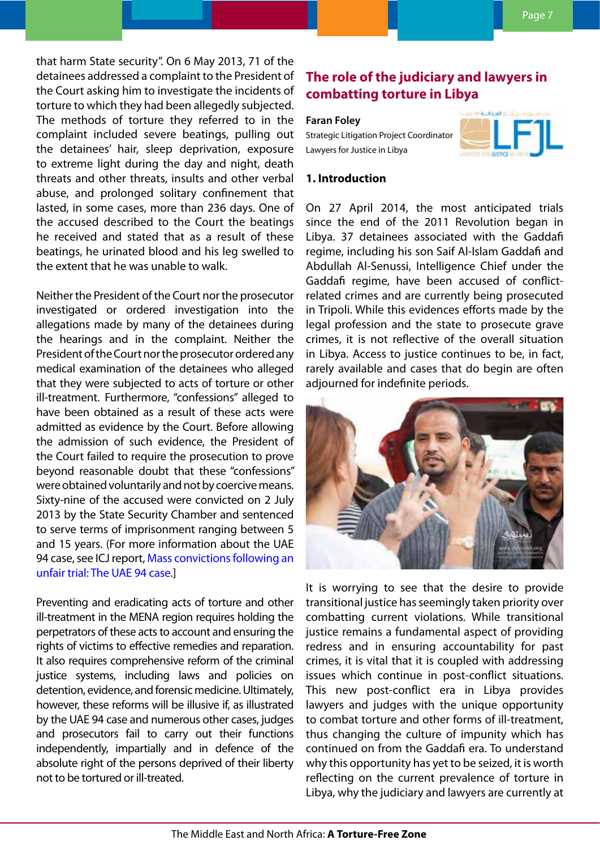<span id="page-6-0"></span>that harm State security". On 6 May 2013, 71 of the detainees addressed a complaint to the President of the Court asking him to investigate the incidents of torture to which they had been allegedly subjected. The methods of torture they referred to in the complaint included severe beatings, pulling out the detainees' hair, sleep deprivation, exposure to extreme light during the day and night, death threats and other threats, insults and other verbal abuse, and prolonged solitary confinement that lasted, in some cases, more than 236 days. One of the accused described to the Court the beatings he received and stated that as a result of these beatings, he urinated blood and his leg swelled to the extent that he was unable to walk.

Neither the President of the Court nor the prosecutor investigated or ordered investigation into the allegations made by many of the detainees during the hearings and in the complaint. Neither the President of the Court nor the prosecutor ordered any medical examination of the detainees who alleged that they were subjected to acts of torture or other ill-treatment. Furthermore, "confessions" alleged to have been obtained as a result of these acts were admitted as evidence by the Court. Before allowing the admission of such evidence, the President of the Court failed to require the prosecution to prove beyond reasonable doubt that these "confessions" were obtained voluntarily and not by coercive means. Sixty-nine of the accused were convicted on 2 July 2013 by the State Security Chamber and sentenced to serve terms of imprisonment ranging between 5 and 15 years. (For more information about the UAE 94 case, see ICJ report, [Mass convictions following an](http://icj.wpengine.netdna-cdn.com/wp-content/uploads/2013/10/UAE-report-4-Oct-2013smallpdf.com_.pdf)  [unfair trial: The UAE 94 case](http://icj.wpengine.netdna-cdn.com/wp-content/uploads/2013/10/UAE-report-4-Oct-2013smallpdf.com_.pdf).]

Preventing and eradicating acts of torture and other ill-treatment in the MENA region requires holding the perpetrators of these acts to account and ensuring the rights of victims to effective remedies and reparation. It also requires comprehensive reform of the criminal justice systems, including laws and policies on detention, evidence, and forensic medicine. Ultimately, however, these reforms will be illusive if, as illustrated by the UAE 94 case and numerous other cases, judges and prosecutors fail to carry out their functions independently, impartially and in defence of the absolute right of the persons deprived of their liberty not to be tortured or ill-treated.

# **The role of the judiciary and lawyers in combatting torture in Libya**

#### **Faran Foley**

Strategic Litigation Project Coordinator Lawyers for Justice in Libya



#### **1. Introduction**

On 27 April 2014, the most anticipated trials since the end of the 2011 Revolution began in Libya. 37 detainees associated with the Gaddafi regime, including his son Saif Al-Islam Gaddafi and Abdullah Al-Senussi, Intelligence Chief under the Gaddafi regime, have been accused of conflictrelated crimes and are currently being prosecuted in Tripoli. While this evidences efforts made by the legal profession and the state to prosecute grave crimes, it is not reflective of the overall situation in Libya. Access to justice continues to be, in fact, rarely available and cases that do begin are often adjourned for indefinite periods.



It is worrying to see that the desire to provide transitional justice has seemingly taken priority over combatting current violations. While transitional justice remains a fundamental aspect of providing redress and in ensuring accountability for past crimes, it is vital that it is coupled with addressing issues which continue in post-conflict situations. This new post-conflict era in Libya provides lawyers and judges with the unique opportunity to combat torture and other forms of ill-treatment, thus changing the culture of impunity which has continued on from the Gaddafi era. To understand why this opportunity has yet to be seized, it is worth reflecting on the current prevalence of torture in Libya, why the judiciary and lawyers are currently at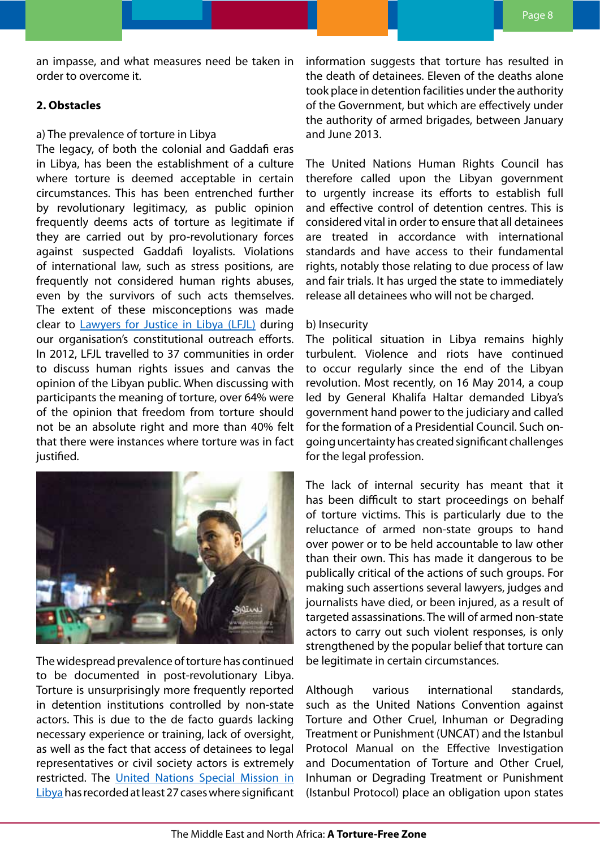an impasse, and what measures need be taken in order to overcome it.

### **2. Obstacles**

#### a) The prevalence of torture in Libya

The legacy, of both the colonial and Gaddafi eras in Libya, has been the establishment of a culture where torture is deemed acceptable in certain circumstances. This has been entrenched further by revolutionary legitimacy, as public opinion frequently deems acts of torture as legitimate if they are carried out by pro-revolutionary forces against suspected Gaddafi loyalists. Violations of international law, such as stress positions, are frequently not considered human rights abuses, even by the survivors of such acts themselves. The extent of these misconceptions was made clear to [Lawyers for Justice in Libya \(LFJL\)](http://www.libyanjustice.org/) during our organisation's constitutional outreach efforts. In 2012, LFJL travelled to 37 communities in order to discuss human rights issues and canvas the opinion of the Libyan public. When discussing with participants the meaning of torture, over 64% were of the opinion that freedom from torture should not be an absolute right and more than 40% felt that there were instances where torture was in fact justified.



The widespread prevalence of torture has continued to be documented in post-revolutionary Libya. Torture is unsurprisingly more frequently reported in detention institutions controlled by non-state actors. This is due to the de facto guards lacking necessary experience or training, lack of oversight, as well as the fact that access of detainees to legal representatives or civil society actors is extremely restricted. The [United Nations Special Mission in](http://unsmil.unmissions.org/Portals/unsmil/Documents/Torture%20Report%20Libya%20En%2001Oct2013.pdf)  [Libya](http://unsmil.unmissions.org/Portals/unsmil/Documents/Torture%20Report%20Libya%20En%2001Oct2013.pdf) has recorded at least 27 cases where significant information suggests that torture has resulted in the death of detainees. Eleven of the deaths alone took place in detention facilities under the authority of the Government, but which are effectively under the authority of armed brigades, between January and June 2013.

The United Nations Human Rights Council has therefore called upon the Libyan government to urgently increase its efforts to establish full and effective control of detention centres. This is considered vital in order to ensure that all detainees are treated in accordance with international standards and have access to their fundamental rights, notably those relating to due process of law and fair trials. It has urged the state to immediately release all detainees who will not be charged.

#### b) Insecurity

The political situation in Libya remains highly turbulent. Violence and riots have continued to occur regularly since the end of the Libyan revolution. Most recently, on 16 May 2014, a coup led by General Khalifa Haltar demanded Libya's government hand power to the judiciary and called for the formation of a Presidential Council. Such ongoing uncertainty has created significant challenges for the legal profession.

The lack of internal security has meant that it has been difficult to start proceedings on behalf of torture victims. This is particularly due to the reluctance of armed non-state groups to hand over power or to be held accountable to law other than their own. This has made it dangerous to be publically critical of the actions of such groups. For making such assertions several lawyers, judges and journalists have died, or been injured, as a result of targeted assassinations. The will of armed non-state actors to carry out such violent responses, is only strengthened by the popular belief that torture can be legitimate in certain circumstances.

Although various international standards, such as the United Nations Convention against Torture and Other Cruel, Inhuman or Degrading Treatment or Punishment (UNCAT) and the Istanbul Protocol Manual on the Effective Investigation and Documentation of Torture and Other Cruel, Inhuman or Degrading Treatment or Punishment (Istanbul Protocol) place an obligation upon states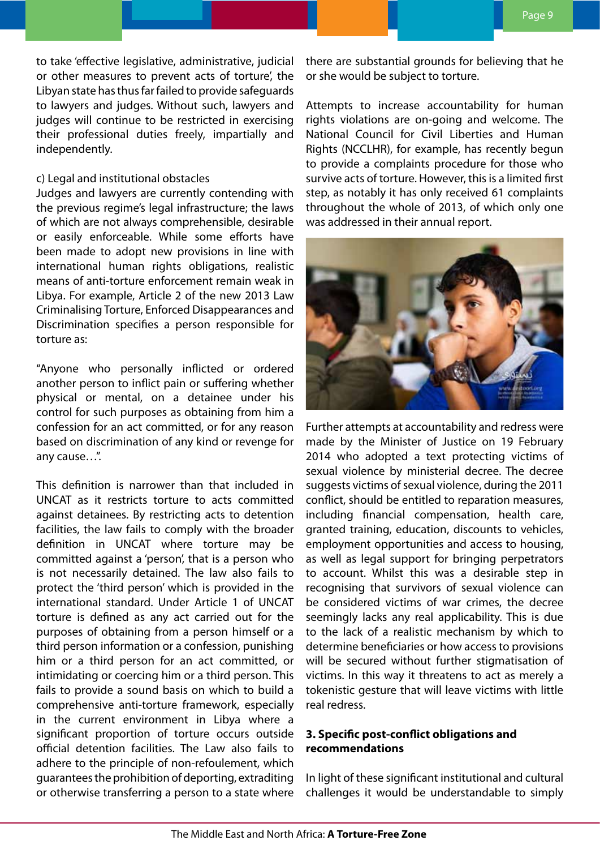to take 'effective legislative, administrative, judicial or other measures to prevent acts of torture', the Libyan state has thus far failed to provide safeguards to lawyers and judges. Without such, lawyers and judges will continue to be restricted in exercising their professional duties freely, impartially and independently.

#### c) Legal and institutional obstacles

Judges and lawyers are currently contending with the previous regime's legal infrastructure; the laws of which are not always comprehensible, desirable or easily enforceable. While some efforts have been made to adopt new provisions in line with international human rights obligations, realistic means of anti-torture enforcement remain weak in Libya. For example, Article 2 of the new 2013 Law Criminalising Torture, Enforced Disappearances and Discrimination specifies a person responsible for torture as:

"Anyone who personally inflicted or ordered another person to inflict pain or suffering whether physical or mental, on a detainee under his control for such purposes as obtaining from him a confession for an act committed, or for any reason based on discrimination of any kind or revenge for any cause…".

This definition is narrower than that included in UNCAT as it restricts torture to acts committed against detainees. By restricting acts to detention facilities, the law fails to comply with the broader definition in UNCAT where torture may be committed against a 'person', that is a person who is not necessarily detained. The law also fails to protect the 'third person' which is provided in the international standard. Under Article 1 of UNCAT torture is defined as any act carried out for the purposes of obtaining from a person himself or a third person information or a confession, punishing him or a third person for an act committed, or intimidating or coercing him or a third person. This fails to provide a sound basis on which to build a comprehensive anti-torture framework, especially in the current environment in Libya where a significant proportion of torture occurs outside official detention facilities. The Law also fails to adhere to the principle of non-refoulement, which guarantees the prohibition of deporting, extraditing or otherwise transferring a person to a state where

there are substantial grounds for believing that he or she would be subject to torture.

Attempts to increase accountability for human rights violations are on-going and welcome. The National Council for Civil Liberties and Human Rights (NCCLHR), for example, has recently begun to provide a complaints procedure for those who survive acts of torture. However, this is a limited first step, as notably it has only received 61 complaints throughout the whole of 2013, of which only one was addressed in their annual report.



Further attempts at accountability and redress were made by the Minister of Justice on 19 February 2014 who adopted a text protecting victims of sexual violence by ministerial decree. The decree suggests victims of sexual violence, during the 2011 conflict, should be entitled to reparation measures, including financial compensation, health care, granted training, education, discounts to vehicles, employment opportunities and access to housing, as well as legal support for bringing perpetrators to account. Whilst this was a desirable step in recognising that survivors of sexual violence can be considered victims of war crimes, the decree seemingly lacks any real applicability. This is due to the lack of a realistic mechanism by which to determine beneficiaries or how access to provisions will be secured without further stigmatisation of victims. In this way it threatens to act as merely a tokenistic gesture that will leave victims with little real redress.

### **3. Specific post-conflict obligations and recommendations**

In light of these significant institutional and cultural challenges it would be understandable to simply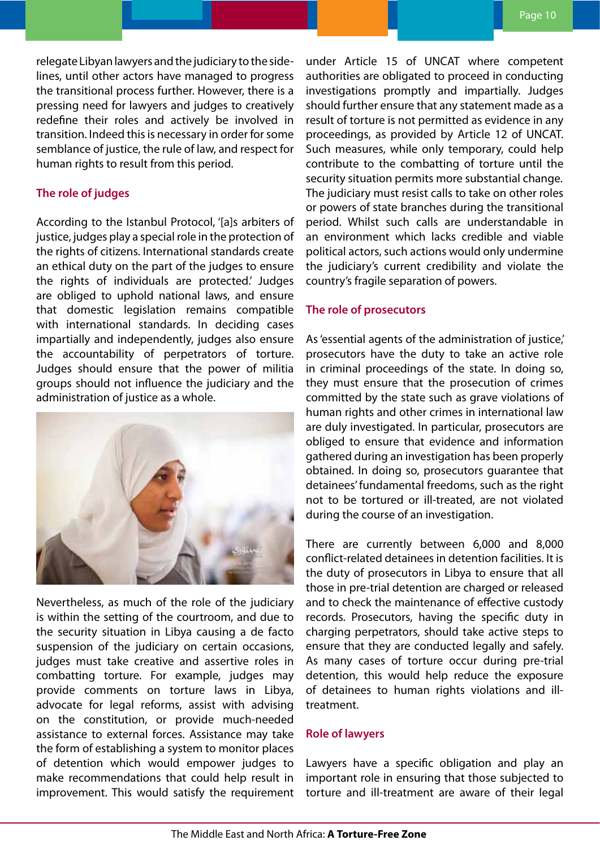relegate Libyan lawyers and the judiciary to the sidelines, until other actors have managed to progress the transitional process further. However, there is a pressing need for lawyers and judges to creatively redefine their roles and actively be involved in transition. Indeed this is necessary in order for some semblance of justice, the rule of law, and respect for human rights to result from this period.

### **The role of judges**

According to the Istanbul Protocol, '[a]s arbiters of justice, judges play a special role in the protection of the rights of citizens. International standards create an ethical duty on the part of the judges to ensure the rights of individuals are protected.' Judges are obliged to uphold national laws, and ensure that domestic legislation remains compatible with international standards. In deciding cases impartially and independently, judges also ensure the accountability of perpetrators of torture. Judges should ensure that the power of militia groups should not influence the judiciary and the administration of justice as a whole.



Nevertheless, as much of the role of the judiciary is within the setting of the courtroom, and due to the security situation in Libya causing a de facto suspension of the judiciary on certain occasions, judges must take creative and assertive roles in combatting torture. For example, judges may provide comments on torture laws in Libya, advocate for legal reforms, assist with advising on the constitution, or provide much-needed assistance to external forces. Assistance may take the form of establishing a system to monitor places of detention which would empower judges to make recommendations that could help result in improvement. This would satisfy the requirement under Article 15 of UNCAT where competent authorities are obligated to proceed in conducting investigations promptly and impartially. Judges should further ensure that any statement made as a result of torture is not permitted as evidence in any proceedings, as provided by Article 12 of UNCAT. Such measures, while only temporary, could help contribute to the combatting of torture until the security situation permits more substantial change. The judiciary must resist calls to take on other roles or powers of state branches during the transitional period. Whilst such calls are understandable in an environment which lacks credible and viable political actors, such actions would only undermine the judiciary's current credibility and violate the country's fragile separation of powers.

#### **The role of prosecutors**

As 'essential agents of the administration of justice,' prosecutors have the duty to take an active role in criminal proceedings of the state. In doing so, they must ensure that the prosecution of crimes committed by the state such as grave violations of human rights and other crimes in international law are duly investigated. In particular, prosecutors are obliged to ensure that evidence and information gathered during an investigation has been properly obtained. In doing so, prosecutors guarantee that detainees' fundamental freedoms, such as the right not to be tortured or ill-treated, are not violated during the course of an investigation.

There are currently between 6,000 and 8,000 conflict-related detainees in detention facilities. It is the duty of prosecutors in Libya to ensure that all those in pre-trial detention are charged or released and to check the maintenance of effective custody records. Prosecutors, having the specific duty in charging perpetrators, should take active steps to ensure that they are conducted legally and safely. As many cases of torture occur during pre-trial detention, this would help reduce the exposure of detainees to human rights violations and illtreatment.

#### **Role of lawyers**

Lawyers have a specific obligation and play an important role in ensuring that those subjected to torture and ill-treatment are aware of their legal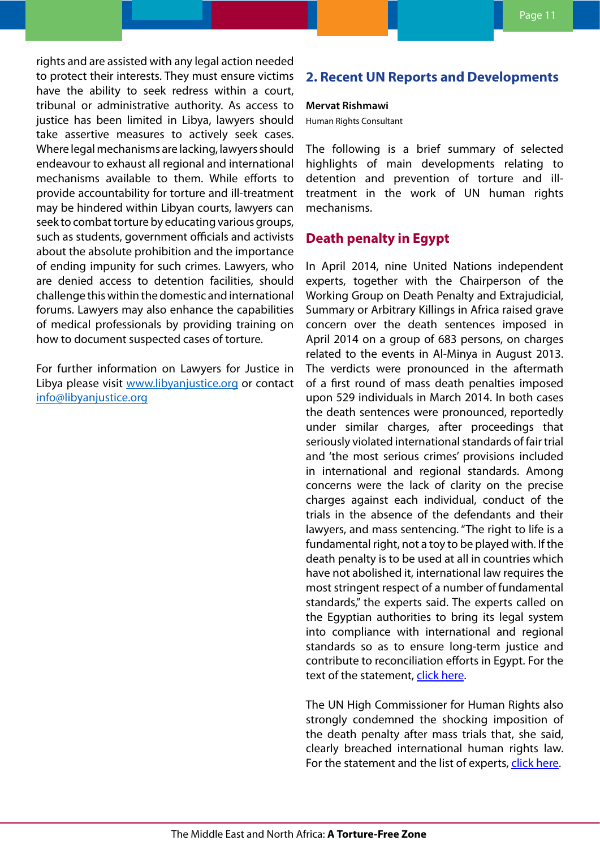<span id="page-10-0"></span>rights and are assisted with any legal action needed to protect their interests. They must ensure victims have the ability to seek redress within a court, tribunal or administrative authority. As access to justice has been limited in Libya, lawyers should take assertive measures to actively seek cases. Where legal mechanisms are lacking, lawyers should endeavour to exhaust all regional and international mechanisms available to them. While efforts to provide accountability for torture and ill-treatment may be hindered within Libyan courts, lawyers can seek to combat torture by educating various groups, such as students, government officials and activists about the absolute prohibition and the importance of ending impunity for such crimes. Lawyers, who are denied access to detention facilities, should challenge this within the domestic and international forums. Lawyers may also enhance the capabilities of medical professionals by providing training on how to document suspected cases of torture.

For further information on Lawyers for Justice in Libya please visit [www.libyanjustice.org](http://www.libyanjustice.org) or contact [info@libyanjustice.org](mailto:info@libyanjustice.org)

# **2. Recent UN Reports and Developments**

#### **Mervat Rishmawi**

Human Rights Consultant

The following is a brief summary of selected highlights of main developments relating to detention and prevention of torture and illtreatment in the work of UN human rights mechanisms.

## **Death penalty in Egypt**

In April 2014, nine United Nations independent experts, together with the Chairperson of the Working Group on Death Penalty and Extrajudicial, Summary or Arbitrary Killings in Africa raised grave concern over the death sentences imposed in April 2014 on a group of 683 persons, on charges related to the events in Al-Minya in August 2013. The verdicts were pronounced in the aftermath of a first round of mass death penalties imposed upon 529 individuals in March 2014. In both cases the death sentences were pronounced, reportedly under similar charges, after proceedings that seriously violated international standards of fair trial and 'the most serious crimes' provisions included in international and regional standards. Among concerns were the lack of clarity on the precise charges against each individual, conduct of the trials in the absence of the defendants and their lawyers, and mass sentencing. "The right to life is a fundamental right, not a toy to be played with. If the death penalty is to be used at all in countries which have not abolished it, international law requires the most stringent respect of a number of fundamental standards," the experts said. The experts called on the Egyptian authorities to bring its legal system into compliance with international and regional standards so as to ensure long-term justice and contribute to reconciliation efforts in Egypt. For the text of the statement, click [here](http://www.ohchr.org/EN/NewsEvents/Pages/DisplayNews.aspx?NewsID=14596&LangID=E).

The UN High Commissioner for Human Rights also strongly condemned the shocking imposition of the death penalty after mass trials that, she said, clearly breached international human rights law. For the statement and the list of experts, click [here](http://www.ohchr.org/EN/NewsEvents/Pages/DisplayNews.aspx?NewsID=14596&LangID=E).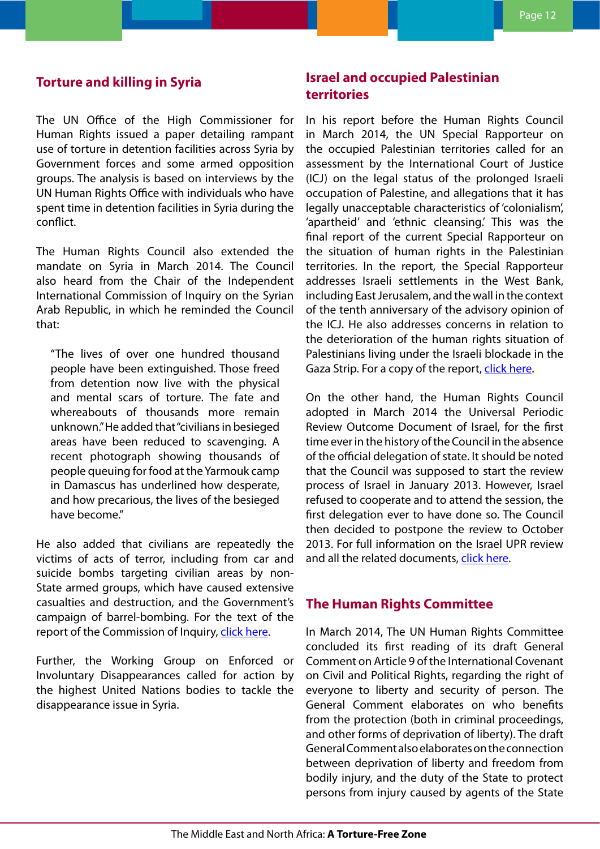### <span id="page-11-0"></span>**Torture and killing in Syria**

The UN Office of the High Commissioner for Human Rights issued a paper detailing rampant use of torture in detention facilities across Syria by Government forces and some armed opposition groups. The analysis is based on interviews by the UN Human Rights Office with individuals who have spent time in detention facilities in Syria during the conflict.

The Human Rights Council also extended the mandate on Syria in March 2014. The Council also heard from the Chair of the Independent International Commission of Inquiry on the Syrian Arab Republic, in which he reminded the Council that:

"The lives of over one hundred thousand people have been extinguished. Those freed from detention now live with the physical and mental scars of torture. The fate and whereabouts of thousands more remain unknown." He added that "civilians in besieged areas have been reduced to scavenging. A recent photograph showing thousands of people queuing for food at the Yarmouk camp in Damascus has underlined how desperate, and how precarious, the lives of the besieged have become."

He also added that civilians are repeatedly the victims of acts of terror, including from car and suicide bombs targeting civilian areas by non-State armed groups, which have caused extensive casualties and destruction, and the Government's campaign of barrel-bombing. For the text of the report of the Commission of Inquiry, [click here.](http://www.ohchr.org/EN/HRBodies/HRC/IICISyria/Pages/IndependentInternationalCommission.aspx)

Further, the Working Group on Enforced or Involuntary Disappearances called for action by the highest United Nations bodies to tackle the disappearance issue in Syria.

## **Israel and occupied Palestinian territories**

In his report before the Human Rights Council in March 2014, the UN Special Rapporteur on the occupied Palestinian territories called for an assessment by the International Court of Justice (ICJ) on the legal status of the prolonged Israeli occupation of Palestine, and allegations that it has legally unacceptable characteristics of 'colonialism', 'apartheid' and 'ethnic cleansing.' This was the final report of the current Special Rapporteur on the situation of human rights in the Palestinian territories. In the report, the Special Rapporteur addresses Israeli settlements in the West Bank, including East Jerusalem, and the wall in the context of the tenth anniversary of the advisory opinion of the ICJ. He also addresses concerns in relation to the deterioration of the human rights situation of Palestinians living under the Israeli blockade in the Gaza Strip. For a copy of the report, [click here.](http://ap.ohchr.org/documents/dpage_e.aspx?si=A/HRC/25/67)

On the other hand, the Human Rights Council adopted in March 2014 the Universal Periodic Review Outcome Document of Israel, for the first time ever in the history of the Council in the absence of the official delegation of state. It should be noted that the Council was supposed to start the review process of Israel in January 2013. However, Israel refused to cooperate and to attend the session, the first delegation ever to have done so. The Council then decided to postpone the review to October 2013. For full information on the Israel UPR review and all the related documents, [click here.](http://www.ohchr.org/EN/HRBodies/UPR/Pages/ILSession15.aspx)

### **The Human Rights Committee**

In March 2014, The UN Human Rights Committee concluded its first reading of its draft General Comment on Article 9 of the International Covenant on Civil and Political Rights, regarding the right of everyone to liberty and security of person. The General Comment elaborates on who benefits from the protection (both in criminal proceedings, and other forms of deprivation of liberty). The draft General Comment also elaborates on the connection between deprivation of liberty and freedom from bodily injury, and the duty of the State to protect persons from injury caused by agents of the State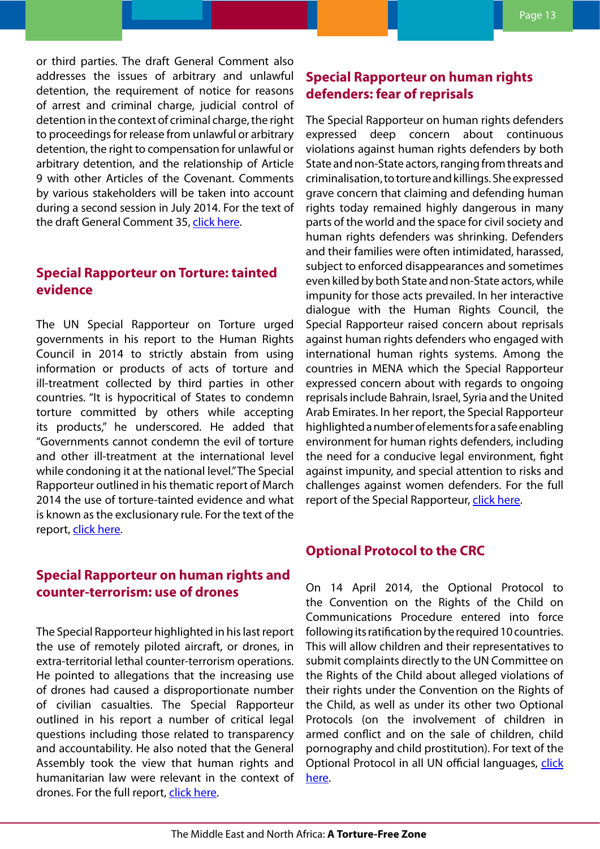<span id="page-12-0"></span>or third parties. The draft General Comment also addresses the issues of arbitrary and unlawful detention, the requirement of notice for reasons of arrest and criminal charge, judicial control of detention in the context of criminal charge, the right to proceedings for release from unlawful or arbitrary detention, the right to compensation for unlawful or arbitrary detention, and the relationship of Article 9 with other Articles of the Covenant. Comments by various stakeholders will be taken into account during a second session in July 2014. For the text of the draft General Comment 35, [click here.](http://www.ohchr.org/EN/NewsEvents/Pages/DisplayNews.aspx?NewsID=14434&LangID=E)

## **Special Rapporteur on Torture: tainted evidence**

The UN Special Rapporteur on Torture urged governments in his report to the Human Rights Council in 2014 to strictly abstain from using information or products of acts of torture and ill-treatment collected by third parties in other countries. "It is hypocritical of States to condemn torture committed by others while accepting its products," he underscored. He added that "Governments cannot condemn the evil of torture and other ill-treatment at the international level while condoning it at the national level." The Special Rapporteur outlined in his thematic report of March 2014 the use of torture-tainted evidence and what is known as the exclusionary rule. For the text of the report, [click here](http://www.ohchr.org/EN/Issues/Torture/SRTorture/Pages/SRTortureIndex.aspx).

## **Special Rapporteur on human rights and counter-terrorism: use of drones**

The Special Rapporteur highlighted in his last report the use of remotely piloted aircraft, or drones, in extra-territorial lethal counter-terrorism operations. He pointed to allegations that the increasing use of drones had caused a disproportionate number of civilian casualties. The Special Rapporteur outlined in his report a number of critical legal questions including those related to transparency and accountability. He also noted that the General Assembly took the view that human rights and humanitarian law were relevant in the context of drones. For the full report, [click here.](http://ap.ohchr.org/documents/dpage_e.aspx?m=134)

# **Special Rapporteur on human rights defenders: fear of reprisals**

The Special Rapporteur on human rights defenders expressed deep concern about continuous violations against human rights defenders by both State and non-State actors, ranging from threats and criminalisation, to torture and killings. She expressed grave concern that claiming and defending human rights today remained highly dangerous in many parts of the world and the space for civil society and human rights defenders was shrinking. Defenders and their families were often intimidated, harassed, subject to enforced disappearances and sometimes even killed by both State and non-State actors, while impunity for those acts prevailed. In her interactive dialogue with the Human Rights Council, the Special Rapporteur raised concern about reprisals against human rights defenders who engaged with international human rights systems. Among the countries in MENA which the Special Rapporteur expressed concern about with regards to ongoing reprisals include Bahrain, Israel, Syria and the United Arab Emirates. In her report, the Special Rapporteur highlighted a number of elements for a safe enabling environment for human rights defenders, including the need for a conducive legal environment, fight against impunity, and special attention to risks and challenges against women defenders. For the full report of the Special Rapporteur, clic[k here](http://www.ohchr.org/EN/Issues/SRHRDefenders/Pages/SRHRDefendersIndex.aspx).

## **Optional Protocol to the CRC**

On 14 April 2014, the Optional Protocol to the Convention on the Rights of the Child on Communications Procedure entered into force following its ratification by the required 10 countries. This will allow children and their representatives to submit complaints directly to the UN Committee on the Rights of the Child about alleged violations of their rights under the Convention on the Rights of the Child, as well as under its other two Optional Protocols (on the involvement of children in armed conflict and on the sale of children, child pornography and child prostitution). For text of the Optional Protocol in all UN official languages, [click](https://treaties.un.org/doc/source/signature/2012/CTC_4-11d.pdf) [here.](https://treaties.un.org/doc/source/signature/2012/CTC_4-11d.pdf)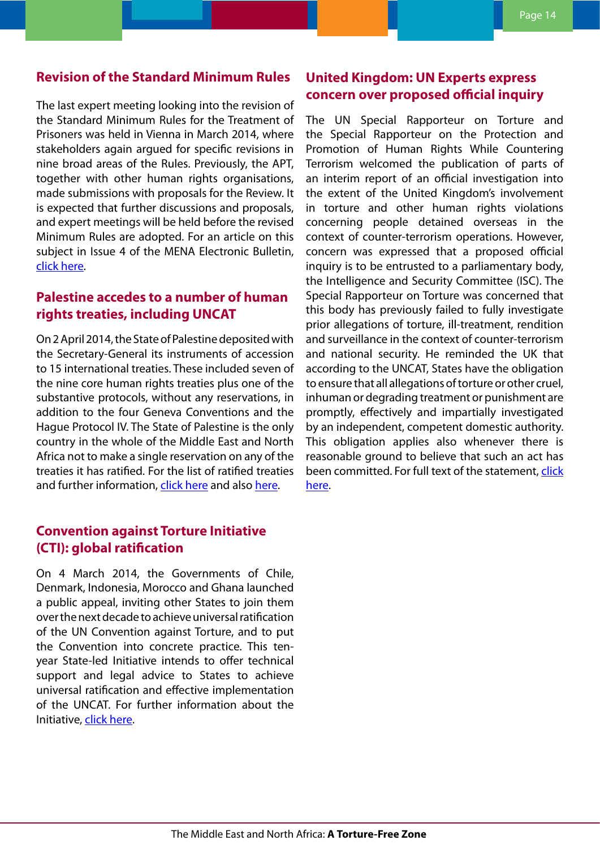## <span id="page-13-0"></span>**Revision of the Standard Minimum Rules**

The last expert meeting looking into the revision of the Standard Minimum Rules for the Treatment of Prisoners was held in Vienna in March 2014, where stakeholders again argued for specific revisions in nine broad areas of the Rules. Previously, the APT, together with other human rights organisations, made submissions with proposals for the Review. It is expected that further discussions and proposals, and expert meetings will be held before the revised Minimum Rules are adopted. For an article on this subject in Issue 4 of the MENA Electronic Bulletin, [click here.](http://www.apt.ch/content/files_res/mena_bulletin04_en-1.pdf)

# **Palestine accedes to a number of human rights treaties, including UNCAT**

On 2 April 2014, the State of Palestine deposited with the Secretary-General its instruments of accession to 15 international treaties. These included seven of the nine core human rights treaties plus one of the substantive protocols, without any reservations, in addition to the four Geneva Conventions and the Hague Protocol IV. The State of Palestine is the only country in the whole of the Middle East and North Africa not to make a single reservation on any of the treaties it has ratified. For the list of ratified treaties and further information, click here and also here.

## **Convention against Torture Initiative (CTI): global ratification**

On 4 March 2014, the Governments of Chile, Denmark, Indonesia, Morocco and Ghana launched a public appeal, inviting other States to join them over the next decade to achieve universal ratification of the UN Convention against Torture, and to put the Convention into concrete practice. This tenyear State-led Initiative intends to offer technical support and legal advice to States to achieve universal ratification and effective implementation of the UNCAT. For further information about the Initiative, click here.

## **United Kingdom: UN Experts express concern over proposed official inquiry**

The UN Special Rapporteur on Torture and the Special Rapporteur on the Protection and Promotion of Human Rights While Countering Terrorism welcomed the publication of parts of an interim report of an official investigation into the extent of the United Kingdom's involvement in torture and other human rights violations concerning people detained overseas in the context of counter-terrorism operations. However, concern was expressed that a proposed official inquiry is to be entrusted to a parliamentary body, the Intelligence and Security Committee (ISC). The Special Rapporteur on Torture was concerned that this body has previously failed to fully investigate prior allegations of torture, ill-treatment, rendition and surveillance in the context of counter-terrorism and national security. He reminded the UK that according to the UNCAT, States have the obligation to ensure that all allegations of torture or other cruel, inhuman or degrading treatment or punishment are promptly, effectively and impartially investigated by an independent, competent domestic authority. This obligation applies also whenever there is reasonable ground to believe that such an act has been committed. For full text of the statement, click [here.](http://www.ohchr.org/EN/NewsEvents/Pages/DisplayNews.aspx?NewsID=14138&LangID=E)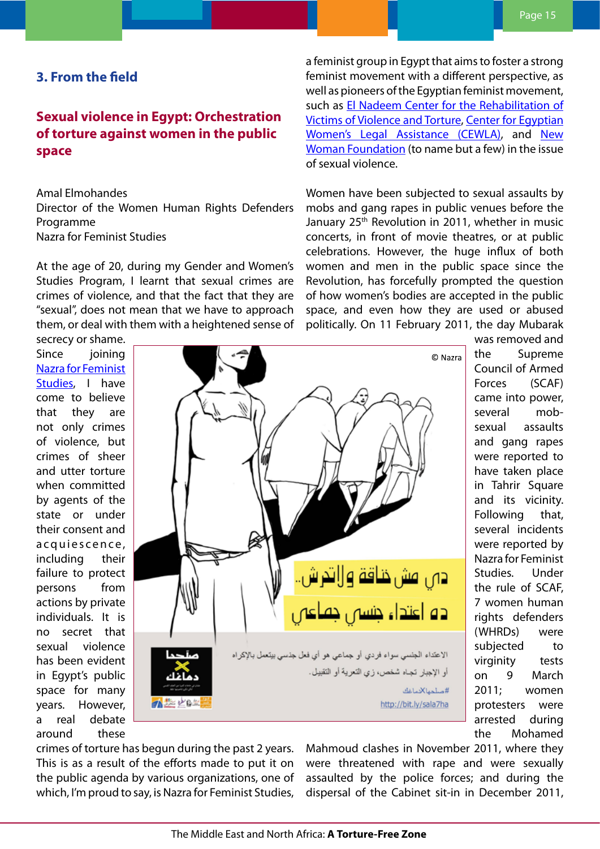## <span id="page-14-0"></span>**3. From the field**

# **Sexual violence in Egypt: Orchestration of torture against women in the public space**

Amal Elmohandes

Director of the Women Human Rights Defenders Programme

Nazra for Feminist Studies

At the age of 20, during my Gender and Women's Studies Program, I learnt that sexual crimes are crimes of violence, and that the fact that they are "sexual", does not mean that we have to approach them, or deal with them with a heightened sense of

secrecy or shame. Since ioining [Nazra for Feminist](http://nazra.org/en) [Studies,](http://nazra.org/en) I have come to believe that they are not only crimes of violence, but crimes of sheer and utter torture when committed by agents of the state or under their consent and a c qui e s c e n c e, including their failure to protect persons from actions by private individuals. It is no secret that sexual violence has been evident in Egypt's public space for many years. However, a real debate around these



[Women's Legal Assistance \(CEWLA\)](http://cewlaeg.org/en), and [New](http://nwrcegypt.org/en/) [Woman Foundation](http://nwrcegypt.org/en/) (to name but a few) in the issue of sexual violence. Women have been subjected to sexual assaults by mobs and gang rapes in public venues before the

January 25<sup>th</sup> Revolution in 2011, whether in music concerts, in front of movie theatres, or at public celebrations. However, the huge influx of both women and men in the public space since the Revolution, has forcefully prompted the question of how women's bodies are accepted in the public space, and even how they are used or abused politically. On 11 February 2011, the day Mubarak

a feminist group in Egypt that aims to foster a strong feminist movement with a different perspective, as well as pioneers of the Egyptian feminist movement, such as [El Nadeem Center for the Rehabilitation of](https://alnadeem.org) [Victims of Violence and Torture,](https://alnadeem.org) [Center for Egyptian](http://cewlaeg.org/en)

> was removed and the Supreme Council of Armed Forces (SCAF) came into power, several mobsexual assaults and gang rapes were reported to have taken place in Tahrir Square and its vicinity. Following that, several incidents were reported by Nazra for Feminist Studies. Under the rule of SCAF, 7 women human rights defenders (WHRDs) were subjected to virginity tests on 9 March 2011; women protesters were arrested during the Mohamed

crimes of torture has begun during the past 2 years. This is as a result of the efforts made to put it on the public agenda by various organizations, one of which, I'm proud to say, is Nazra for Feminist Studies, Mahmoud clashes in November 2011, where they were threatened with rape and were sexually assaulted by the police forces; and during the dispersal of the Cabinet sit-in in December 2011,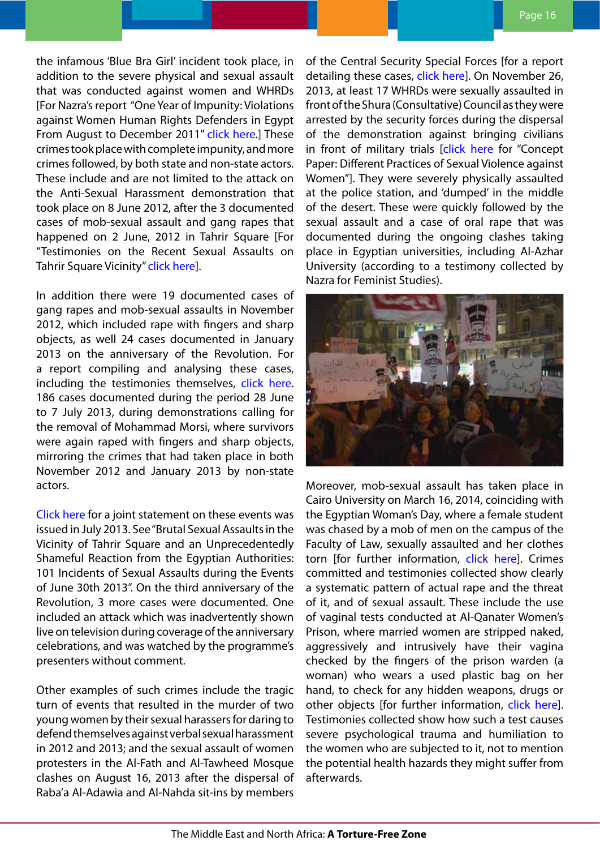the infamous 'Blue Bra Girl' incident took place, in addition to the severe physical and sexual assault that was conducted against women and WHRDs [For Nazra's report "One Year of Impunity: Violations against Women Human Rights Defenders in Egypt From August to December 2011" [click here](http://nazra.org/en/2012/09/%E2%80%9Ci%E2%80%99m-coming-back-you-i-want-kill-you%E2%80%9D-one-year-impunity).] These crimes took place with complete impunity, and more crimes followed, by both state and non-state actors. These include and are not limited to the attack on the Anti-Sexual Harassment demonstration that took place on 8 June 2012, after the 3 documented cases of mob-sexual assault and gang rapes that happened on 2 June, 2012 in Tahrir Square [For "Testimonies on the Recent Sexual Assaults on Tahrir Square Vicinity" [click here\]](http://nazra.org/en/2012/06/testimonies-recent-sexual-assaults-tahrir-square-vicinity).

In addition there were 19 documented cases of gang rapes and mob-sexual assaults in November 2012, which included rape with fingers and sharp objects, as well 24 cases documented in January 2013 on the anniversary of the Revolution. For a report compiling and analysing these cases, including the testimonies themselves, [click here](http://nazra.org/en/2013/05/sexual-assault-and-rape-tahrir-square-and-its-vicinity-compendium-sources-2011-2013). 186 cases documented during the period 28 June to 7 July 2013, during demonstrations calling for the removal of Mohammad Morsi, where survivors were again raped with fingers and sharp objects, mirroring the crimes that had taken place in both November 2012 and January 2013 by non-state actors.

C[lick here](http://nazra.org/en/2013/07/brutal-sexual-assaults-vicinity-tahrir-square) for a joint statement on these events was issued in July 2013. See "Brutal Sexual Assaults in the Vicinity of Tahrir Square and an Unprecedentedly Shameful Reaction from the Egyptian Authorities: 101 Incidents of Sexual Assaults during the Events of June 30th 2013". On the third anniversary of the Revolution, 3 more cases were documented. One included an attack which was inadvertently shown live on television during coverage of the anniversary celebrations, and was watched by the programme's presenters without comment.

Other examples of such crimes include the tragic turn of events that resulted in the murder of two young women by their sexual harassers for daring to defend themselves against verbal sexual harassment in 2012 and 2013; and the sexual assault of women protesters in the Al-Fath and Al-Tawheed Mosque clashes on August 16, 2013 after the dispersal of Raba'a Al-Adawia and Al-Nahda sit-ins by members

of the Central Security Special Forces [for a report detailing these cases, [click here](http://nazra.org/en/2013/09/interior-ministry-did-not-adhere-international-standards-during-dispersal-rab%E2%80%99aa-al-adaweya)]. On November 26, 2013, at least 17 WHRDs were sexually assaulted in front of the Shura (Consultative) Council as they were arrested by the security forces during the dispersal of the demonstration against bringing civilians in front of military trials [[click here](http://nazra.org/en/2014/02/concept-paper-different-practices-sexual-violence-against-women) for "Concept Paper: Different Practices of Sexual Violence against Women"]. They were severely physically assaulted at the police station, and 'dumped' in the middle of the desert. These were quickly followed by the sexual assault and a case of oral rape that was documented during the ongoing clashes taking place in Egyptian universities, including Al-Azhar University (according to a testimony collected by Nazra for Feminist Studies).



Moreover, mob-sexual assault has taken place in Cairo University on March 16, 2014, coinciding with the Egyptian Woman's Day, where a female student was chased by a mob of men on the campus of the Faculty of Law, sexually assaulted and her clothes torn [for further information, [click here\]](http://nazra.org/en/2014/04/egypt-epidemic-sexual-violence-continues). Crimes committed and testimonies collected show clearly a systematic pattern of actual rape and the threat of it, and of sexual assault. These include the use of vaginal tests conducted at Al-Qanater Women's Prison, where married women are stripped naked, aggressively and intrusively have their vagina checked by the fingers of the prison warden (a woman) who wears a used plastic bag on her hand, to check for any hidden weapons, drugs or other objects [for further information, [click here](http://nazra.org/en/2014/02/concept-paper-different-practices-sexual-violence-against-women)]. Testimonies collected show how such a test causes severe psychological trauma and humiliation to the women who are subjected to it, not to mention the potential health hazards they might suffer from afterwards.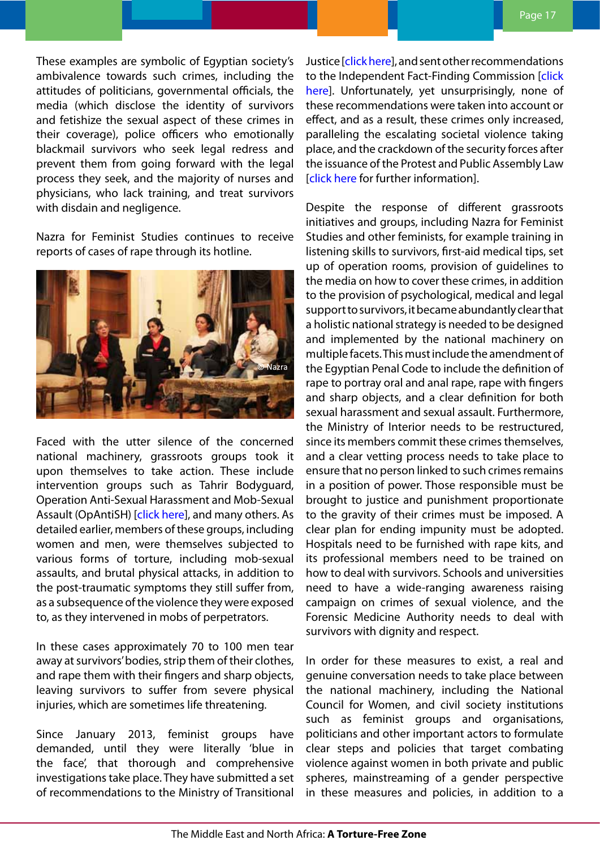These examples are symbolic of Egyptian society's ambivalence towards such crimes, including the attitudes of politicians, governmental officials, the media (which disclose the identity of survivors and fetishize the sexual aspect of these crimes in their coverage), police officers who emotionally blackmail survivors who seek legal redress and prevent them from going forward with the legal process they seek, and the majority of nurses and physicians, who lack training, and treat survivors with disdain and negligence.

Nazra for Feminist Studies continues to receive reports of cases of rape through its hotline.



Faced with the utter silence of the concerned national machinery, grassroots groups took it upon themselves to take action. These include intervention groups such as [Tahrir Bodyguard](https://www.facebook.com/Tahrir.Bodyguards), Operation Anti-Sexual Harassment and Mob-Sexual Assault (OpAntiSH) [\[click here](https://www.facebook.com/opantish)], and many others. As detailed earlier, members of these groups, including women and men, were themselves subjected to various forms of torture, including mob-sexual assaults, and brutal physical attacks, in addition to the post-traumatic symptoms they still suffer from, as a subsequence of the violence they were exposed to, as they intervened in mobs of perpetrators.

In these cases approximately 70 to 100 men tear away at survivors' bodies, strip them of their clothes, and rape them with their fingers and sharp objects, leaving survivors to suffer from severe physical injuries, which are sometimes life threatening.

Since January 2013, feminist groups have demanded, until they were literally 'blue in the face', that thorough and comprehensive investigations take place. They have submitted a set of recommendations to the Ministry of Transitional

Justice [\[click here](http://nazra.org/en/2013/07/recommendations-integrate-gender-issues-and-perspective-within-transitional-justice)], and sent other recommendations to the Independent Fact-Finding Commission [\[click](http://nazra.org/en/2014/02/recommendations-june-30-fact-finding-committee)] [here](http://nazra.org/en/2014/02/recommendations-june-30-fact-finding-committee)]. Unfortunately, yet unsurprisingly, none of these recommendations were taken into account or effect, and as a result, these crimes only increased, paralleling the escalating societal violence taking place, and the crackdown of the security forces after the issuance of the Protest and Public Assembly Law [click here for further information].

Despite the response of different grassroots initiatives and groups, including Nazra for Feminist Studies and other feminists, for example training in listening skills to survivors, first-aid medical tips, set up of operation rooms, provision of guidelines to the media on how to cover these crimes, in addition to the provision of psychological, medical and legal support to survivors, it became abundantly clear that a holistic national strategy is needed to be designed and implemented by the national machinery on multiple facets. This must include the amendment of the Egyptian Penal Code to include the definition of rape to portray oral and anal rape, rape with fingers and sharp objects, and a clear definition for both sexual harassment and sexual assault. Furthermore, the Ministry of Interior needs to be restructured, since its members commit these crimes themselves, and a clear vetting process needs to take place to ensure that no person linked to such crimes remains in a position of power. Those responsible must be brought to justice and punishment proportionate to the gravity of their crimes must be imposed. A clear plan for ending impunity must be adopted. Hospitals need to be furnished with rape kits, and its professional members need to be trained on how to deal with survivors. Schools and universities need to have a wide-ranging awareness raising campaign on crimes of sexual violence, and the Forensic Medicine Authority needs to deal with survivors with dignity and respect.

In order for these measures to exist, a real and genuine conversation needs to take place between the national machinery, including the National Council for Women, and civil society institutions such as feminist groups and organisations, politicians and other important actors to formulate clear steps and policies that target combating violence against women in both private and public spheres, mainstreaming of a gender perspective in these measures and policies, in addition to a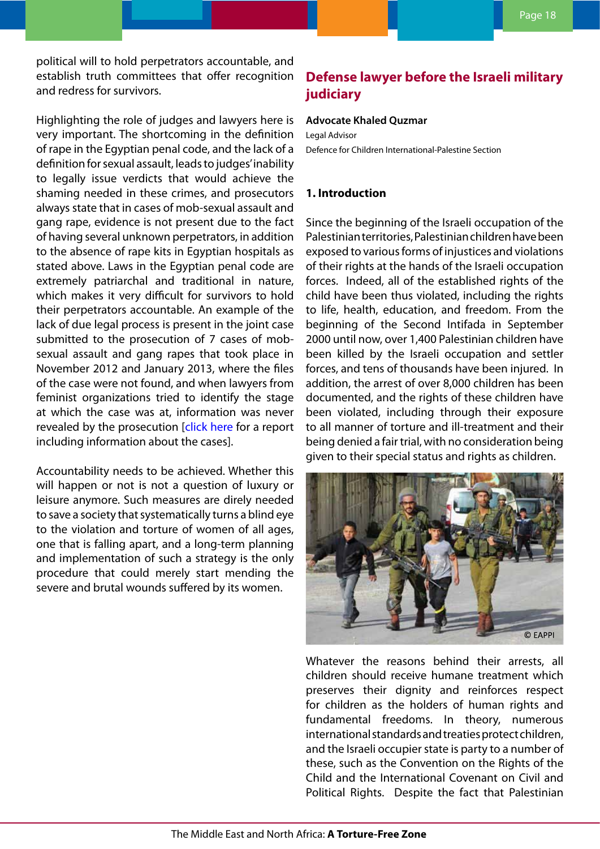<span id="page-17-0"></span>Highlighting the role of judges and lawyers here is very important. The shortcoming in the definition of rape in the Egyptian penal code, and the lack of a definition for sexual assault, leads to judges' inability to legally issue verdicts that would achieve the shaming needed in these crimes, and prosecutors always state that in cases of mob-sexual assault and gang rape, evidence is not present due to the fact of having several unknown perpetrators, in addition to the absence of rape kits in Egyptian hospitals as stated above. Laws in the Egyptian penal code are extremely patriarchal and traditional in nature, which makes it very difficult for survivors to hold their perpetrators accountable. An example of the lack of due legal process is present in the joint case submitted to the prosecution of 7 cases of mobsexual assault and gang rapes that took place in November 2012 and January 2013, where the files of the case were not found, and when lawyers from feminist organizations tried to identify the stage at which the case was at, information was never revealed by the prosecution [[click here](http://nazra.org/en/2014/04/egypt-epidemic-sexual-violence-continues) for a report including information about the cases].

Accountability needs to be achieved. Whether this will happen or not is not a question of luxury or leisure anymore. Such measures are direly needed to save a society that systematically turns a blind eye to the violation and torture of women of all ages, one that is falling apart, and a long-term planning and implementation of such a strategy is the only procedure that could merely start mending the severe and brutal wounds suffered by its women.

# **Defense lawyer before the Israeli military judiciary**

#### **Advocate Khaled Quzmar**

Legal Advisor Defence for Children International-Palestine Section

### **1. Introduction**

Since the beginning of the Israeli occupation of the Palestinian territories, Palestinian children have been exposed to various forms of injustices and violations of their rights at the hands of the Israeli occupation forces. Indeed, all of the established rights of the child have been thus violated, including the rights to life, health, education, and freedom. From the beginning of the Second Intifada in September 2000 until now, over 1,400 Palestinian children have been killed by the Israeli occupation and settler forces, and tens of thousands have been injured. In addition, the arrest of over 8,000 children has been documented, and the rights of these children have been violated, including through their exposure to all manner of torture and ill-treatment and their being denied a fair trial, with no consideration being given to their special status and rights as children.



Whatever the reasons behind their arrests, all children should receive humane treatment which preserves their dignity and reinforces respect for children as the holders of human rights and fundamental freedoms. In theory, numerous international standards and treaties protect children, and the Israeli occupier state is party to a number of these, such as the Convention on the Rights of the Child and the International Covenant on Civil and Political Rights. Despite the fact that Palestinian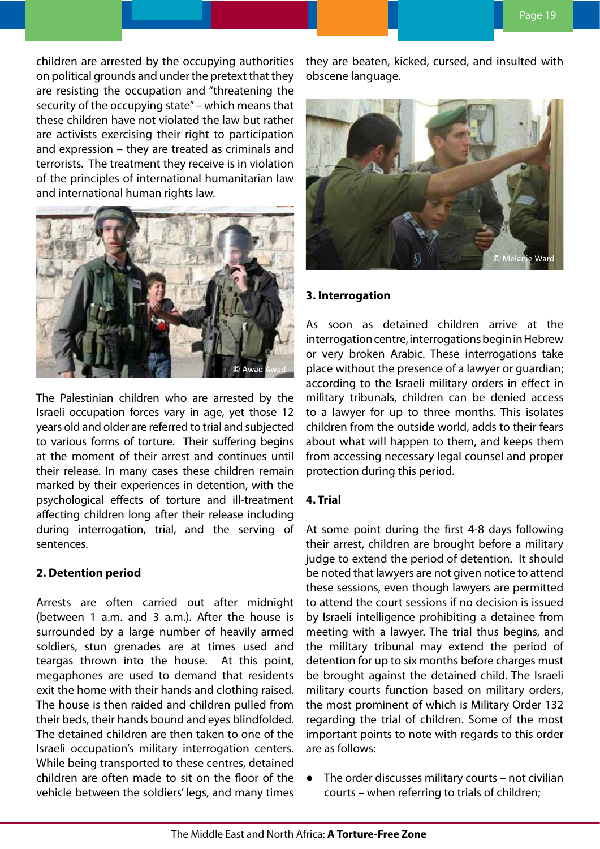children are arrested by the occupying authorities on political grounds and under the pretext that they are resisting the occupation and "threatening the security of the occupying state" – which means that these children have not violated the law but rather are activists exercising their right to participation and expression – they are treated as criminals and terrorists. The treatment they receive is in violation of the principles of international humanitarian law and international human rights law.



The Palestinian children who are arrested by the Israeli occupation forces vary in age, yet those 12 years old and older are referred to trial and subjected to various forms of torture. Their suffering begins at the moment of their arrest and continues until their release. In many cases these children remain marked by their experiences in detention, with the psychological effects of torture and ill-treatment affecting children long after their release including during interrogation, trial, and the serving of sentences.

### **2. Detention period**

Arrests are often carried out after midnight (between 1 a.m. and 3 a.m.). After the house is surrounded by a large number of heavily armed soldiers, stun grenades are at times used and teargas thrown into the house. At this point, megaphones are used to demand that residents exit the home with their hands and clothing raised. The house is then raided and children pulled from their beds, their hands bound and eyes blindfolded. The detained children are then taken to one of the Israeli occupation's military interrogation centers. While being transported to these centres, detained children are often made to sit on the floor of the vehicle between the soldiers' legs, and many times

they are beaten, kicked, cursed, and insulted with obscene language.



#### **3. Interrogation**

As soon as detained children arrive at the interrogation centre, interrogations begin in Hebrew or very broken Arabic. These interrogations take place without the presence of a lawyer or guardian; according to the Israeli military orders in effect in military tribunals, children can be denied access to a lawyer for up to three months. This isolates children from the outside world, adds to their fears about what will happen to them, and keeps them from accessing necessary legal counsel and proper protection during this period.

### **4. Trial**

At some point during the first 4-8 days following their arrest, children are brought before a military judge to extend the period of detention. It should be noted that lawyers are not given notice to attend these sessions, even though lawyers are permitted to attend the court sessions if no decision is issued by Israeli intelligence prohibiting a detainee from meeting with a lawyer. The trial thus begins, and the military tribunal may extend the period of detention for up to six months before charges must be brought against the detained child. The Israeli military courts function based on military orders, the most prominent of which is Military Order 132 regarding the trial of children. Some of the most important points to note with regards to this order are as follows:

● The order discusses military courts – not civilian courts – when referring to trials of children;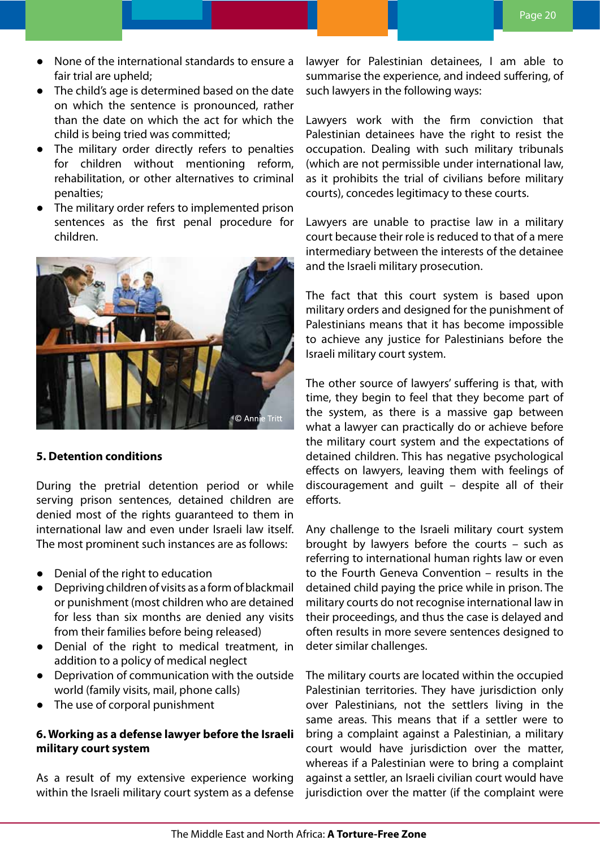- None of the international standards to ensure a fair trial are upheld;
- The child's age is determined based on the date on which the sentence is pronounced, rather than the date on which the act for which the child is being tried was committed;
- The military order directly refers to penalties for children without mentioning reform, rehabilitation, or other alternatives to criminal penalties;
- The military order refers to implemented prison sentences as the first penal procedure for children.



### **5. Detention conditions**

During the pretrial detention period or while serving prison sentences, detained children are denied most of the rights guaranteed to them in international law and even under Israeli law itself. The most prominent such instances are as follows:

- Denial of the right to education
- Depriving children of visits as a form of blackmail or punishment (most children who are detained for less than six months are denied any visits from their families before being released)
- Denial of the right to medical treatment, in addition to a policy of medical neglect
- Deprivation of communication with the outside world (family visits, mail, phone calls)
- The use of corporal punishment

## **6. Working as a defense lawyer before the Israeli military court system**

As a result of my extensive experience working within the Israeli military court system as a defense lawyer for Palestinian detainees, I am able to summarise the experience, and indeed suffering, of such lawyers in the following ways:

Lawyers work with the firm conviction that Palestinian detainees have the right to resist the occupation. Dealing with such military tribunals (which are not permissible under international law, as it prohibits the trial of civilians before military courts), concedes legitimacy to these courts.

Lawyers are unable to practise law in a military court because their role is reduced to that of a mere intermediary between the interests of the detainee and the Israeli military prosecution.

The fact that this court system is based upon military orders and designed for the punishment of Palestinians means that it has become impossible to achieve any justice for Palestinians before the Israeli military court system.

The other source of lawyers' suffering is that, with time, they begin to feel that they become part of the system, as there is a massive gap between what a lawyer can practically do or achieve before the military court system and the expectations of detained children. This has negative psychological effects on lawyers, leaving them with feelings of discouragement and guilt – despite all of their efforts.

Any challenge to the Israeli military court system brought by lawyers before the courts – such as referring to international human rights law or even to the Fourth Geneva Convention – results in the detained child paying the price while in prison. The military courts do not recognise international law in their proceedings, and thus the case is delayed and often results in more severe sentences designed to deter similar challenges.

The military courts are located within the occupied Palestinian territories. They have jurisdiction only over Palestinians, not the settlers living in the same areas. This means that if a settler were to bring a complaint against a Palestinian, a military court would have jurisdiction over the matter, whereas if a Palestinian were to bring a complaint against a settler, an Israeli civilian court would have jurisdiction over the matter (if the complaint were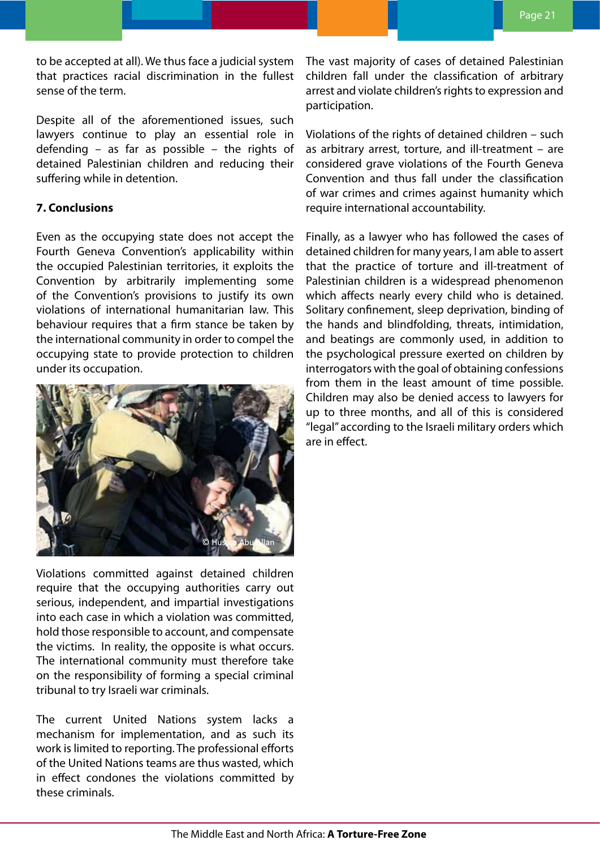to be accepted at all). We thus face a judicial system that practices racial discrimination in the fullest sense of the term.

Despite all of the aforementioned issues, such lawyers continue to play an essential role in defending – as far as possible – the rights of detained Palestinian children and reducing their suffering while in detention.

### **7. Conclusions**

Even as the occupying state does not accept the Fourth Geneva Convention's applicability within the occupied Palestinian territories, it exploits the Convention by arbitrarily implementing some of the Convention's provisions to justify its own violations of international humanitarian law. This behaviour requires that a firm stance be taken by the international community in order to compel the occupying state to provide protection to children under its occupation.



Violations committed against detained children require that the occupying authorities carry out serious, independent, and impartial investigations into each case in which a violation was committed, hold those responsible to account, and compensate the victims. In reality, the opposite is what occurs. The international community must therefore take on the responsibility of forming a special criminal tribunal to try Israeli war criminals.

The current United Nations system lacks a mechanism for implementation, and as such its work is limited to reporting. The professional efforts of the United Nations teams are thus wasted, which in effect condones the violations committed by these criminals.

The vast majority of cases of detained Palestinian children fall under the classification of arbitrary arrest and violate children's rights to expression and participation.

Violations of the rights of detained children – such as arbitrary arrest, torture, and ill-treatment – are considered grave violations of the Fourth Geneva Convention and thus fall under the classification of war crimes and crimes against humanity which require international accountability.

Finally, as a lawyer who has followed the cases of detained children for many years, I am able to assert that the practice of torture and ill-treatment of Palestinian children is a widespread phenomenon which affects nearly every child who is detained. Solitary confinement, sleep deprivation, binding of the hands and blindfolding, threats, intimidation, and beatings are commonly used, in addition to the psychological pressure exerted on children by interrogators with the goal of obtaining confessions from them in the least amount of time possible. Children may also be denied access to lawyers for up to three months, and all of this is considered "legal" according to the Israeli military orders which are in effect.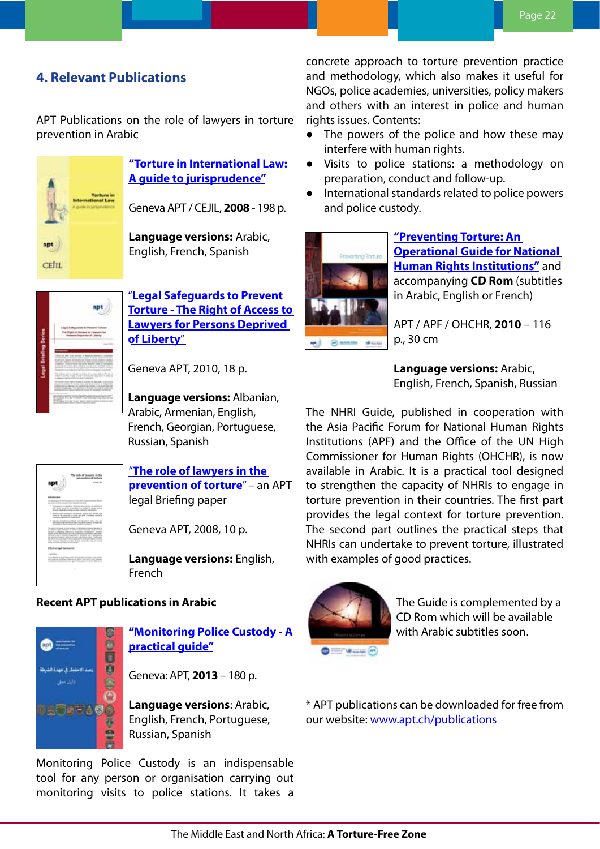# <span id="page-21-0"></span>**4. Relevant Publications**

APT Publications on the role of lawyers in torture prevention in Arabic



**["Torture in International Law:](http://www.apt.ch/en/resources/torture-in-international-law-a-guide-to-jurisprudence-2008/?cat=63
)  [A guide to jurisprudence"](http://www.apt.ch/en/resources/torture-in-international-law-a-guide-to-jurisprudence-2008/?cat=63
)**

Geneva APT / CEJIL, **2008** - 198 p.

**Language versions:** Arabic, English, French, Spanish



"**[Legal Safeguards to Prevent](http://www.apt.ch/en/resources/2-the-right-of-access-to-lawyers-for-persons-deprived-of-liberty/?cat=63)  [Torture - The Right of Access to](http://www.apt.ch/en/resources/2-the-right-of-access-to-lawyers-for-persons-deprived-of-liberty/?cat=63)  [Lawyers for Persons Deprived](http://www.apt.ch/en/resources/2-the-right-of-access-to-lawyers-for-persons-deprived-of-liberty/?cat=63)  [of Liberty](http://www.apt.ch/en/resources/2-the-right-of-access-to-lawyers-for-persons-deprived-of-liberty/?cat=63)**"

Geneva APT, 2010, 18 p.

**Language versions:** Albanian, Arabic, Armenian, English, French, Georgian, Portuguese, Russian, Spanish



"**[The role of lawyers in the](http://www.apt.ch/en/resources/the-role-of-lawyers-in-the-prevention-of-torture/?cat=63)  [prevention of torture](http://www.apt.ch/en/resources/the-role-of-lawyers-in-the-prevention-of-torture/?cat=63)**" – an APT legal Briefing paper

Geneva APT, 2008, 10 p.

**Language versions:** English, French

### **Recent APT publications in Arabic**



**["Monitoring Police Custody - A](http://www.apt.ch/en/resources/monitoring-police-custody-a-practical-guide/) [practical guide"](http://www.apt.ch/en/resources/monitoring-police-custody-a-practical-guide/)**

Geneva: APT, **2013** – 180 p.

**Language versions**: Arabic, English, French, Portuguese, Russian, Spanish

Monitoring Police Custody is an indispensable tool for any person or organisation carrying out monitoring visits to police stations. It takes a

concrete approach to torture prevention practice and methodology, which also makes it useful for NGOs, police academies, universities, policy makers and others with an interest in police and human rights issues. Contents:

- The powers of the police and how these may interfere with human rights.
- Visits to police stations: a methodology on preparation, conduct and follow-up.
- International standards related to police powers and police custody.



**["Preventing Torture: An](http://www.apt.ch/en/resources/national-human-rights-institutions/)  [Operational Guide for National](http://www.apt.ch/en/resources/national-human-rights-institutions/)  [Human Rights Institutions"](http://www.apt.ch/en/resources/national-human-rights-institutions/)** and accompanying **CD Rom** (subtitles in Arabic, English or French)

APT / APF / OHCHR, **2010** – 116 p., 30 cm

**Language versions:** Arabic, English, French, Spanish, Russian

The NHRI Guide, published in cooperation with the Asia Pacific Forum for National Human Rights Institutions (APF) and the Office of the UN High Commissioner for Human Rights (OHCHR), is now available in Arabic. It is a practical tool designed to strengthen the capacity of NHRIs to engage in torture prevention in their countries. The first part provides the legal context for torture prevention. The second part outlines the practical steps that NHRIs can undertake to prevent torture, illustrated with examples of good practices.



The Guide is complemented by a CD Rom which will be available with Arabic subtitles soon.

\* APT publications can be downloaded for free from our website: [www.apt.ch/publications](http://www.apt.ch/publications)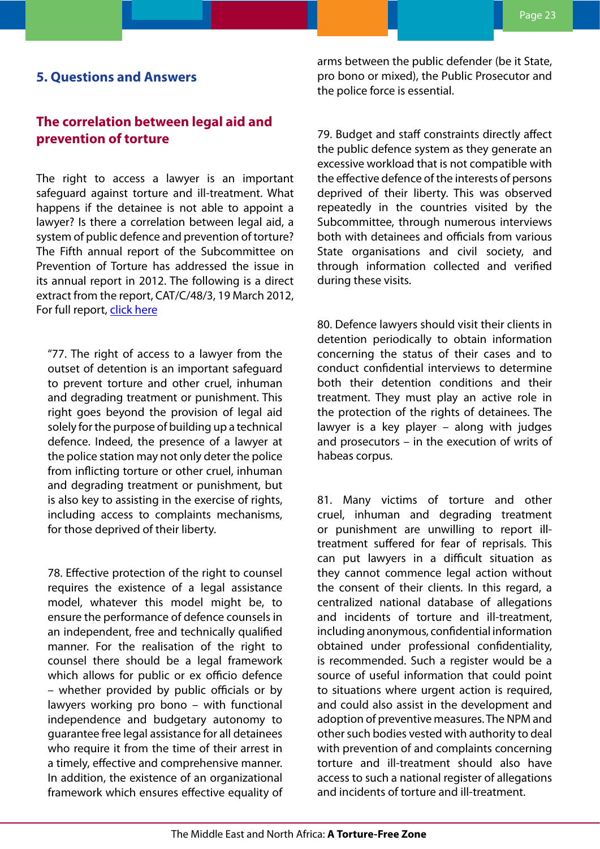## <span id="page-22-0"></span>**5. Questions and Answers**

# **The correlation between legal aid and prevention of torture**

The right to access a lawyer is an important safeguard against torture and ill-treatment. What happens if the detainee is not able to appoint a lawyer? Is there a correlation between legal aid, a system of public defence and prevention of torture? The Fifth annual report of the Subcommittee on Prevention of Torture has addressed the issue in its annual report in 2012. The following is a direct extract from the report, CAT/C/48/3, 19 March 2012, For full report, [click here](http://tbinternet.ohchr.org/_layouts/treatybodyexternal/Download.aspx?symbolno=CAT%2fC%2f48%2f3&Lang=en)

"77. The right of access to a lawyer from the outset of detention is an important safeguard to prevent torture and other cruel, inhuman and degrading treatment or punishment. This right goes beyond the provision of legal aid solely for the purpose of building up a technical defence. Indeed, the presence of a lawyer at the police station may not only deter the police from inflicting torture or other cruel, inhuman and degrading treatment or punishment, but is also key to assisting in the exercise of rights, including access to complaints mechanisms, for those deprived of their liberty.

78. Effective protection of the right to counsel requires the existence of a legal assistance model, whatever this model might be, to ensure the performance of defence counsels in an independent, free and technically qualified manner. For the realisation of the right to counsel there should be a legal framework which allows for public or ex officio defence – whether provided by public officials or by lawyers working pro bono – with functional independence and budgetary autonomy to guarantee free legal assistance for all detainees who require it from the time of their arrest in a timely, effective and comprehensive manner. In addition, the existence of an organizational framework which ensures effective equality of

arms between the public defender (be it State, pro bono or mixed), the Public Prosecutor and the police force is essential.

79. Budget and staff constraints directly affect the public defence system as they generate an excessive workload that is not compatible with the effective defence of the interests of persons deprived of their liberty. This was observed repeatedly in the countries visited by the Subcommittee, through numerous interviews both with detainees and officials from various State organisations and civil society, and through information collected and verified during these visits.

80. Defence lawyers should visit their clients in detention periodically to obtain information concerning the status of their cases and to conduct confidential interviews to determine both their detention conditions and their treatment. They must play an active role in the protection of the rights of detainees. The lawyer is a key player – along with judges and prosecutors – in the execution of writs of habeas corpus.

81. Many victims of torture and other cruel, inhuman and degrading treatment or punishment are unwilling to report illtreatment suffered for fear of reprisals. This can put lawyers in a difficult situation as they cannot commence legal action without the consent of their clients. In this regard, a centralized national database of allegations and incidents of torture and ill-treatment, including anonymous, confidential information obtained under professional confidentiality, is recommended. Such a register would be a source of useful information that could point to situations where urgent action is required, and could also assist in the development and adoption of preventive measures. The NPM and other such bodies vested with authority to deal with prevention of and complaints concerning torture and ill-treatment should also have access to such a national register of allegations and incidents of torture and ill-treatment.